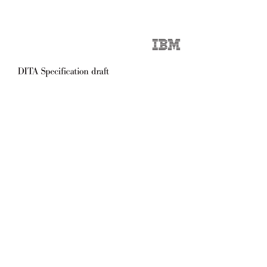| and the state of the con-                      | <u>expertise the contract of the contract of the contract of the contract of the contract of the contract of the contract of the contract of the contract of the contract of the contract of the contract of the contract of the</u> |                 |
|------------------------------------------------|--------------------------------------------------------------------------------------------------------------------------------------------------------------------------------------------------------------------------------------|-----------------|
| <b>Contract Contract Contract</b>              | and the second state of the                                                                                                                                                                                                          |                 |
|                                                | __                                                                                                                                                                                                                                   | $\sim$          |
|                                                | <u>and the second second second second second second second second second second second second second second second second second second second second second second second second second second second second second second sec</u> |                 |
| and the state of the state of the state of the |                                                                                                                                                                                                                                      | <b>Contract</b> |
| <b>Service Service</b>                         | and the state of the state of                                                                                                                                                                                                        | $\mathbf{r}$    |
| ____                                           | __                                                                                                                                                                                                                                   |                 |
| _____                                          |                                                                                                                                                                                                                                      |                 |

# DITA Specification draft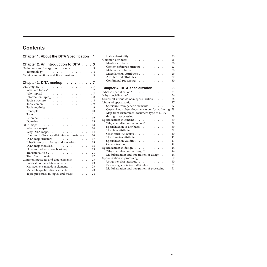# **Contents**

|<br>|<br>|<br>|<br>|<br>|<br>|<br>|

 $\overline{1}$  $\mathsf{I}$  $\mathbf{I}$  $\mathsf{I}$  $\mathbf{I}$  $\overline{\phantom{a}}$  $\begin{array}{c} \hline \end{array}$  $\mathsf I$ 

 $\bar{\rm I}$ 

 $\mathbf{I}$ 

| <b>Chapter 1. About the DITA Specification</b><br>1                                                                                                                                                                                                                                              |
|--------------------------------------------------------------------------------------------------------------------------------------------------------------------------------------------------------------------------------------------------------------------------------------------------|
| Chapter 2. An introduction to DITA 3<br>Definitions and background concepts 3<br>Terminology 4<br>Naming conventions and file extensions 5                                                                                                                                                       |
| Chapter 3. DITA markup 7                                                                                                                                                                                                                                                                         |
| DITA topics. $\ldots$ $\ldots$ $\ldots$ $\ldots$ $\ldots$ $\ldots$ $\ldots$ 7                                                                                                                                                                                                                    |
| What are topics?<br>$\mathcal{L}^{\text{max}}$ , where $\mathcal{L}^{\text{max}}$<br>.7                                                                                                                                                                                                          |
| $\mathbf{L}^{\text{max}}$<br>$\sqrt{7}$<br>$\ddot{\phantom{a}}$<br>$\mathbb{R}^{\mathbb{Z}^2}$                                                                                                                                                                                                   |
| Why topics? $\ldots$ $\ldots$ $\ldots$ .<br>Information typing $\ldots$ $\ldots$<br>$\mathbf{L}^{\text{max}}$<br>.8<br>$\ddot{\phantom{a}}$<br>$\mathbb{Z}^{\mathbb{Z}^2}$                                                                                                                       |
| Topic structure.<br>.8                                                                                                                                                                                                                                                                           |
| Topic content $\ldots$ $\ldots$ $\ldots$ $\ldots$ $\ldots$<br>. 9                                                                                                                                                                                                                                |
| Topic modules. 9                                                                                                                                                                                                                                                                                 |
| . 10<br>Concepts.                                                                                                                                                                                                                                                                                |
| Tasks<br>. 11                                                                                                                                                                                                                                                                                    |
| $\mathbb{Z}^{\mathbb{Z}}$ . $\mathbb{Z}^{\mathbb{Z}}$<br>Reference.<br>$\mathcal{L}^{\text{max}}$ and $\mathcal{L}^{\text{max}}$<br>.12<br>$\mathcal{L}^{\text{max}}$<br>$\mathcal{L}^{\pm}$<br>$\mathbf{r}$<br>$\mathcal{L}^{\mathcal{L}}$<br>$\mathcal{L}^{\pm}$<br>$\mathcal{L}^{\text{max}}$ |
| Domains $\cdots$ $\cdots$ $\cdots$ $\cdots$<br>. 13                                                                                                                                                                                                                                              |
| .13<br>DITA maps $\ldots$ $\ldots$ $\ldots$ $\ldots$ $\ldots$                                                                                                                                                                                                                                    |
| What are maps?<br>.14                                                                                                                                                                                                                                                                            |
| Why DITA maps? $\ldots$ $\ldots$ $\ldots$ $\ldots$ $\ldots$ $\ldots$ 14                                                                                                                                                                                                                          |
| Common DITA map attributes and metadata 14                                                                                                                                                                                                                                                       |
| DITA map structure 17                                                                                                                                                                                                                                                                            |
| Inheritance of attributes and metadata<br>.18                                                                                                                                                                                                                                                    |
| DITA map modules. $\ldots$ $\ldots$ $\ldots$ $\ldots$<br>.18                                                                                                                                                                                                                                     |
| How and when to use bookmap<br>$\mathcal{L}^{\text{max}}$ and $\mathcal{L}^{\text{max}}$<br>. 19                                                                                                                                                                                                 |
| Transitional text<br>. 21                                                                                                                                                                                                                                                                        |
| The xNAL domain $\ldots$ $\ldots$ $\ldots$ $\ldots$<br>.22                                                                                                                                                                                                                                       |
| Common metadata and data elements<br>.23                                                                                                                                                                                                                                                         |
| Publication metadata elements 23                                                                                                                                                                                                                                                                 |
| Management metadata elements 23                                                                                                                                                                                                                                                                  |
| Metadata qualification elements<br>.23                                                                                                                                                                                                                                                           |
| Topic properties in topics and maps<br>.24                                                                                                                                                                                                                                                       |

| Data extensibility $\cdots$ $\cdots$ $\cdots$ $\cdots$  |  |  |  |  | .25  |
|---------------------------------------------------------|--|--|--|--|------|
| Common attributes.                                      |  |  |  |  | .26  |
|                                                         |  |  |  |  | .26  |
|                                                         |  |  |  |  | .27  |
| Metadata attributes. 28                                 |  |  |  |  |      |
| Miscellaneous Attributes                                |  |  |  |  | .29  |
| Architectural attributes                                |  |  |  |  | .30  |
| Conditional processing                                  |  |  |  |  | . 30 |
|                                                         |  |  |  |  |      |
| Chapter 4. DITA specialization. 35                      |  |  |  |  |      |
| What is specialization? 35                              |  |  |  |  |      |
| Why specialization?                                     |  |  |  |  | .36  |
| Structural versus domain specialization                 |  |  |  |  | . 36 |
| Limits of specialization 37                             |  |  |  |  |      |
| Specialize from generic elements 37                     |  |  |  |  |      |
| Customized subset document types for authoring 38       |  |  |  |  |      |
| Map from customized document type to DITA               |  |  |  |  |      |
| during preprocessing                                    |  |  |  |  | . 38 |
| Specialization in content                               |  |  |  |  | . 39 |
| Why specialization in content?                          |  |  |  |  | . 39 |
| Specialization of attributes                            |  |  |  |  | . 39 |
| The class attribute $\cdots$ $\cdots$ $\cdots$ $\cdots$ |  |  |  |  | . 39 |
| Class attribute syntax                                  |  |  |  |  | .40  |
| The domains attribute                                   |  |  |  |  | .41  |
| Specialization validity                                 |  |  |  |  | .41  |
| Generalization                                          |  |  |  |  | .42  |
| Specialization in design                                |  |  |  |  | .44  |
| Why specialization in design?                           |  |  |  |  | .44  |
| Modularization and integration of design                |  |  |  |  | .44  |
| Specialization in processing                            |  |  |  |  | . 50 |
| Using the class attribute $\ldots$ $\ldots$ $\ldots$    |  |  |  |  | . 50 |
| Processing specialized attributes 51                    |  |  |  |  |      |
| Modularization and integration of processing.           |  |  |  |  | . 51 |

|

 $\|$  $\overline{\phantom{a}}$ 

|

| | | | | | | |

 $\|$ 

|

|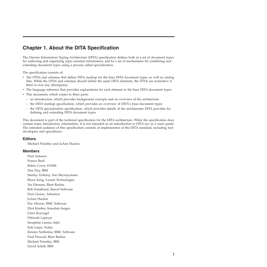# <span id="page-4-0"></span>**Chapter 1. About the DITA Specification**

The Darwin Information Typing Architecture (DITA) specification defines both a) a set of document types for authoring and organizing topic-oriented information; and b) a set of mechanisms for combining and extending document types using a process called specialization.

The specification consists of:

- The DTDs and schemas that define DITA markup for the base DITA document types, as well as catalog files. While the DTDs and schemas should define the same DITA elements, the DTDs are normative if there is ever any discrepancy.
- v The language reference that provides explanations for each element in the base DITA document types
- This document, which comes in three parts:
	- an introduction, which provides background concepts and an overview of the architecture
	- the DITA markup specification, which provides an overview of DITA's base document types
	- the DITA specialization specification, which provides details of the mechanisms DITA provides for defining and extending DITA document types.

This document is part of the technical specification for the DITA architecture. While the specification does contain some introductory information, it is not intended as an introduction to DITA nor as a users guide. The intended audience of this specification consists of implementers of the DITA standard, including tool developers and specializers.

### **Editors**

Michael Priestley and JoAnn Hackos

### **Members**

Paul Antonov France Baril Robin Cover, OASIS Don Day, IBM Stanley Doherty, Sun Microsystems Bruce Esrig, Lucent Technologies Yas Etessam, Blast Radius Rob Frankland, Rascal Software Paul Grosso, Arbortext JoAnn Hackos Eric Hixson, BMC Software Eliot Kimber, Innodata Isogen Chris Kravogel Deborah Lapeyre Seraphim Larsen, Intel Indi Liepa, Nokia Kirsten Nothstine, BMC Software Paul Prescod, Blast Radius Michael Priestley, IBM David Schell, IBM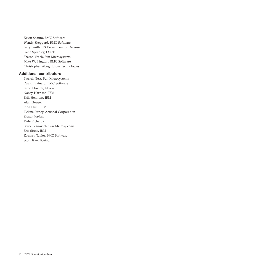Kevin Shaum, BMC Software Wendy Shepperd, BMC Software Jerry Smith, US Department of Defense Dana Spradley, Oracle Sharon Veach, Sun Microsystems Mike Wethington, BMC Software Christopher Wong, Idiom Technologies

### **Additional contributors**

Patricia Best, Sun Microsystems David Brainard, BMC Software Jarno Elovirta, Nokia Nancy Harrison, IBM Erik Hennum, IBM Alan Houser John Hunt, IBM Helena Jerney, Actional Corporation Shawn Jordan Tyde Richards Bruce Sesnovich, Sun Microsystems Eric Sirois, IBM Zachary Taylor, BMC Software Scott Tsao, Boeing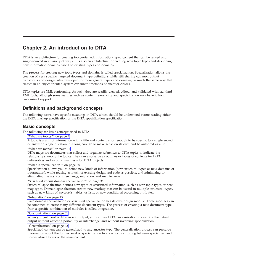# <span id="page-6-0"></span>**Chapter 2. An introduction to DITA**

DITA is an architecture for creating topic-oriented, information-typed content that can be reused and single-sourced in a variety of ways. It is also an architecture for creating new topic types and describing new information domains based on existing types and domains.

The process for creating new topic types and domains is called specialization. Specialization allows the creation of very specific, targeted document type definitions while still sharing common output transforms and design rules developed for more general types and domains, in much the same way that classes in an object-oriented system can inherit methods of ancestor classes.

DITA topics are XML conforming. As such, they are readily viewed, edited, and validated with standard XML tools, although some features such as content referencing and specialization may benefit from customized support.

# **Definitions and background concepts**

The following terms have specific meanings in DITA which should be understood before reading either the DITA markup specification or the DITA specialization specification.

# **Basic concepts**

The following are basic concepts used in DITA.

"What are [topics?"](#page-10-0) on page 7

A topic is a unit of information with a title and content, short enough to be specific to a single subject or answer a single question, but long enough to make sense on its own and be authored as a unit.

"What are [maps?"](#page-17-0) on page 14

DITA maps are documents that collect and organize references to DITA topics to indicate the relationships among the topics. They can also serve as outlines or tables of contents for DITA deliverables and as build manifests for DITA projects.

"What is [specialization?"](#page-38-0) on page 35

Specialization allows you to define new kinds of information (new structural types or new domains of information), while reusing as much of existing design and code as possible, and minimizing or eliminating the costs of interchange, migration, and maintenance.

"Structural versus domain [specialization"](#page-39-0) on page 36

Structural specialization defines new types of structured information, such as new topic types or new map types. Domain specialization creates new markup that can be useful in multiple structural types, such as new kinds of keywords, tables, or lists, or new conditional processing attributes.

#### ["Integration"](#page-48-0) on page 45

Each domain specialization or structural specialization has its own design module. These modules can be combined to create many different document types. The process of creating a new document type from a specific combination of modules is called integration.

#### ["Customization"](#page-54-0) on page 51

When you just need a difference in output, you can use DITA customization to override the default output without affecting portability or interchange, and without involving specialization.

#### ["Generalization"](#page-45-0) on page 42

Specialized content can be generalized to any ancestor type. The generalization process can preserve information about the former level of specialization to allow round-tripping between specialized and unspecialized forms of the same content.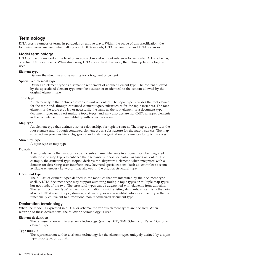# <span id="page-7-0"></span>**Terminology**

DITA uses a number of terms in particular or unique ways. Within the scope of this specification, the following terms are used when talking about DITA models, DITA declarations, and DITA instances.

### **Model terminology**

DITA can be understood at the level of an abstract model without reference to particular DTDs, schemas, or actual XML documents. When discussing DITA concepts at this level, the following terminology is used.

#### **Element type**

Defines the structure and semantics for a fragment of content.

#### **Specialized element type**

Defines an element type as a semantic refinement of another element type. The content allowed by the specialized element type must be a subset of or identical to the content allowed by the original element type.

#### **Topic type**

An element type that defines a complete unit of content. The topic type provides the root element for the topic and, through contained element types, substructure for the topic instances. The root element of the topic type is not necessarily the same as the root element of a document type: document types may nest multiple topic types, and may also declare non-DITA wrapper elements as the root element for compatibility with other processes.

#### **Map type**

An element type that defines a set of relationships for topic instances. The map type provides the root element and, through contained element types, substructure for the map instances. The map substructure provides hierarchy, group, and matrix organization of references to topic instances.

#### **Structural type**

A topic type or map type.

#### **Domain**

A set of elements that support a specific subject area. Elements in a domain can be integrated with topic or map types to enhance their semantic support for particular kinds of content. For example, the structural type <topic> declares the <keyword> element; when integrated with a domain for describing user interfaces, new keyword specializations (such as <wintitle>) become available wherever <keyword> was allowed in the original structural type.

#### **Document type**

The full set of element types defined in the modules that are integrated by the document type shell. A DITA document type may support authoring multiple topic types or multiple map types, but not a mix of the two. The structural types can be augmented with elements from domains. The term ″document type″ is used for compatibility with existing standards, since this is the point at which DITA's set of topic, domain, and map types are assembled into a document type that is functionally equivalent to a traditional non-modularized document type.

### **Declaration terminology**

When the model is expressed in a DTD or schema, the various element types are declared. When referring to these declarations, the following terminology is used.

#### **Element declaration**

The representation within a schema technology (such as DTD, XML Schema, or Relax NG) for an element type.

#### **Type module**

The representation within a schema technology for the element types uniquely defined by a topic type, map type, or domain.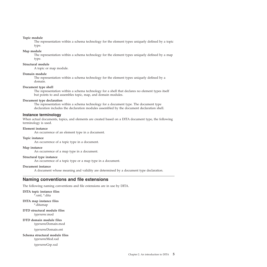#### <span id="page-8-0"></span>**Topic module**

The representation within a schema technology for the element types uniquely defined by a topic type.

#### **Map module**

The representation within a schema technology for the element types uniquely defined by a map type.

#### **Structural module**

A topic or map module.

#### **Domain module**

The representation within a schema technology for the element types uniquely defined by a domain.

#### **Document type shell**

The representation within a schema technology for a shell that declares no element types itself but points to and assembles topic, map, and domain modules.

#### **Document type declaration**

The representation within a schema technology for a document type. The document type declaration includes the declaration modules assembled by the document declaration shell.

#### **Instance terminology**

When actual documents, topics, and elements are created based on a DITA document type, the following terminology is used.

#### **Element instance**

An occurrence of an element type in a document.

#### **Topic instance**

An occurrence of a topic type in a document.

#### **Map instance**

An occurrence of a map type in a document.

#### **Structural type instance**

An occurrence of a topic type or a map type in a document.

#### **Document instance**

A document whose meaning and validity are determined by a document type declaration.

### **Naming conventions and file extensions**

The following naming conventions and file extensions are in use by DITA.

#### **DITA topic instance files** \*.xml, \*.dita

**DITA map instance files**

\*.ditamap

**DTD structural module files** *typename*.mod

#### **DTD domain module files** *typename*Domain.mod

*typename*Domain.ent

#### **Schema structural module files** *typename*Mod.xsd

*typename*Grp.xsd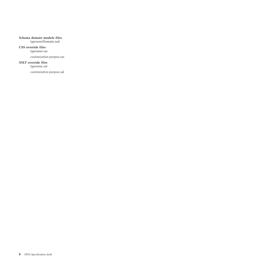#### **Schema domain module files**

*typename*Domain.xsd

### **CSS override files**

*typename*.css

*customization-purpose*.css

#### **XSLT override files**

*typename*.xsl

*customization-purpose*.xsl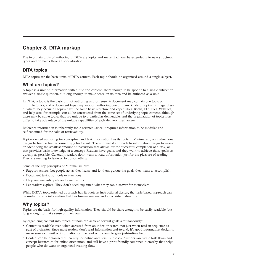# <span id="page-10-0"></span>**Chapter 3. DITA markup**

The two main units of authoring in DITA are topics and maps. Each can be extended into new structural types and domains through specialization.

# **DITA topics**

DITA topics are the basic units of DITA content. Each topic should be organized around a single subject.

# **What are topics?**

A topic is a unit of information with a title and content, short enough to be specific to a single subject or answer a single question, but long enough to make sense on its own and be authored as a unit.

In DITA, a topic is the basic unit of authoring and of reuse. A document may contain one topic or multiple topics, and a document type may support authoring one or many kinds of topics. But regardless of where they occur, all topics have the same basic structure and capabilities. Books, PDF files, Websites, and help sets, for example, can all be constructed from the same set of underlying topic content, although there may be some topics that are unique to a particular deliverable, and the organization of topics may differ to take advantage of the unique capabilities of each delivery mechanism.

Reference information is inherently topic-oriented, since it requires information to be modular and self-contained for the sake of retrievability.

Topic-oriented authoring for conceptual and task information has its roots in Minimalism, an instructional design technique first espoused by John Carroll. The minimalist approach to information design focusses on identifying the smallest amount of instruction that allows for the successful completion of a task, or that provides basic knowledge of a concept. Readers have goals, and they want to achieve those goals as quickly as possible. Generally, readers don't want to read information just for the pleasure of reading. They are reading to learn or to do something.

Some of the key principles of Minimalism are:

- v Support actions. Let people act as they learn, and let them pursue the goals they want to accomplish.
- Document tasks, not tools or functions.
- Help readers anticipate and avoid errors.
- Let readers explore. They don't need explained what they can discover for themselves.

While DITA's topic-oriented approach has its roots in instructional design, the topic-based approach can be useful for any information that has human readers and a consistent structure.

# **Why topics?**

Topics are the basis for high-quality information. They should be short enough to be easily readable, but long enough to make sense on their own.

By organizing content into topics, authors can achieve several goals simultaneously:

- v Content is readable even when accessed from an index or search, not just when read in sequence as part of a chapter. Since most readers don't read information end-to-end, it's good information design to make sure each unit of information can be read on its own to give just-in-time help.
- v Content can be organized differently for online and print purposes. Authors can create task flows and concept hierarchies for online orientation, and still have a print-friendly combined hierarchy that helps people who do want an organized reading flow.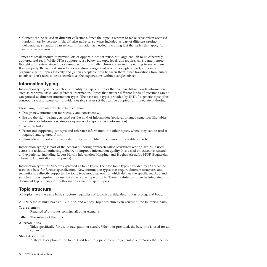<span id="page-11-0"></span>v Content can be reused in different collections. Since the topic is written to make sense when accessed randomly (as by search), it should also make sense when included as part of different product deliverables, so authors can refactor information as needed, including just the topics that apply for each reuse scenario.

Topics are small enough to provide lots of opportunities for reuse, but large enough to be coherently authored and read. While DITA supports reuse below the topic level, this requires considerably more thought and review, since topics assembled out of smaller chunks often require editing to make them flow properly. By contrast, since topics are already organized around a single subject, authors can organize a set of topics logically and get an acceptable flow between them, since transitions from subject to subject don't need to be as seamless as the explanations within a single subject.

# **Information typing**

Information typing is the practice of identifying types of topics that contain distinct kinds information, such as concepts, tasks, and reference information. Topics that answer different kinds of questions can be categorized as different information types. The base topic types provided by DITA ( a generic topic, plus concept, task, and reference ) provide a usable starter set that can be adopted for immediate authoring.

Classifying information by type helps authors:

- v Design new information more easily and consistently.
- v Ensure the right design gets used for the kind of information (retrieval-oriented structures like tables for reference information, simple sequences of steps for task information)
- Focus on tasks.
- v Factor out supporting concepts and reference information into other topics, where they can be read if required and ignored if not.
- v Eliminate unimportant or redundant information. Identify common or reusable subjects.

Information typing is part of the general authoring approach called structured writing, which is used across the technical authoring industry to improve information quality. It is based on extensive research and experience, including Robert Horn's Information Mapping, and Hughes Aircraft's STOP (Sequential Thematic Organization of Proposals).

Information types in DITA are expressed as topic types. The base topic types provided by DITA can be used as a base for further specialization. New information types that require different structures and semantics are directly supported by topic type modules, each of which defines the specific markup and structural rules required to describe a particular type of topic. These modules can then be integrated into document types to support authoring information-typed topics.

# **Topic structure**

All topics have the same basic structure, regardless of topic type: title, description, prolog, and body.

All DITA topics must have an ID, a title, and a body. Topic structures can consist of the following parts:

### **Topic element**

Required *id* attribute, contains all other elements

**Title** The subject of the topic.

#### **Alternate titles**

Titles specifically for use in navigation or search. When not provided, the base title is used for all contexts.

#### **Short description**

A short description of the topic. Used both in topic content, in generated summaries that include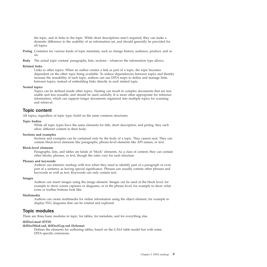<span id="page-12-0"></span>the topic, and in links to the topic. While short descriptions aren't required, they can make a dramatic difference to the usability of an information set, and should generally be provided for all topics.

- **Prolog** Container for various kinds of topic metadata, such as change history, audience, product, and so on.
- **Body** The actual topic content: paragraphs, lists, sections whatever the information type allows.

#### **Related links**

Links to other topics. When an author creates a link as part of a topic, the topic becomes dependent on the other topic being available. To reduce dependencies between topics and thereby increase the reusability of each topic, authors can use DITA maps to define and manage links between topics, instead of embedding links directly in each related topic.

#### **Nested topics**

Topics can be defined inside other topics. Nesting can result in complex documents that are less usable and less reusable, and should be used carefully. It is more often appropriate for reference information, which can support longer documents organized into multiple topics for scanning and retrieval.

# **Topic content**

All topics, regardless of topic type, build on the same common structures.

#### **Topic bodies**

While all topic types have the same elements for title, short description, and prolog, they each allow different content in their body.

#### **Sections and examples**

Sections and examples can be contained only by the body of a topic. They cannot nest. They can contain block-level elements like paragraphs, phrase-level elements like API names, or text.

#### **Block-level elements**

Paragraphs, lists, and tables are kinds of ″block″ elements. As a class of content, they can contain other blocks, phrases, or text, though the rules vary for each structure.

#### **Phrases and keywords**

Authors can intermix markup with text when they need to identify part of a paragraph or even part of a sentence as having special significance. Phrases can usually contain other phrases and keywords as well as text. Keywords can only contain text.

#### **Images**

Authors can insert images using the image element. Images can be used at the block level, for example to show screen captures or diagrams, or at the phrase level, for example to show what icons or toolbar buttons look like.

#### **Multimedia**

Authors can create multimedia for online information using the object element, for example to display SVG diagrams that can be rotated and explored.

# **Topic modules**

There are three basic modules in topic: for tables, for metadata, and for everything else.

#### **tblDecl.mod (DTD)**

#### **tblDeclMod.xsd, tblDeclGrp.xsd (Schema)**

Defines the elements for authoring tables, based on the CALS table model but with some DITA-specific extensions.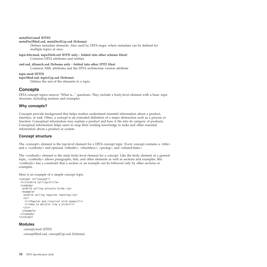#### <span id="page-13-0"></span>**metaDecl.mod (DTD)**

#### **metaDeclMod.xsd, metaDeclGrp.xsd (Schema)**

Defines metadata elements. Also used by DITA maps, where metadata can be defined for multiple topics at once.

**topicAttr.mod, topicDefn.ent (DTD only - folded into other schema files))** Common DITA attributes and entities.

**xml.xsd, ditaarch.xsd (Schema only - folded into other DTD files)** Common XML attributes and the DITA architecture version attribute

#### **topic.mod (DTD)**

#### **topicMod.xsd, topicGrp.xsd (Schema)**

Defines the rest of the elements in a topic.

# **Concepts**

DITA concept topics answer ″What is...″ questions. They include a body-level element with a basic topic structure, including sections and examples.

### **Why concepts?**

Concepts provide background that helps readers understand essential information about a product, interface, or task. Often, a concept is an extended definition of a major abstraction such as a process or function. Conceptual information may explain a product and how it fits into its category of products. Conceptual information helps users to map their existing knowledge to tasks and other essential information about a product or system.

### **Concept structure**

The <concept> element is the top-level element for a DITA concept topic. Every concept contains a <title> and a <conbody> and optional <titlealts>, <shortdesc>, <prolog>, and <related-links>.

The <conbody> element is the main body-level element for a concept. Like the body element of a general topic, <conbody> allows paragraphs, lists, and other elements as well as sections and examples. But <conbody> has a constraint that a section or an example can be followed only by other sections or examples.

Here is an example of a simple concept topic.

```
<concept id="concept">
<title>Bird Calling</title>
 <conbody>
 <p>Bird calling attracts birds.</p>
 <example>
   <p>Bird calling requires learning:</p>
   |<sub>u</sub>|><li>Popular and classical bird songs</li>
   <li>How to whistle like a bird</li>
   \langle u|</example>
 </conbody>
</concept>
```
### **Modules**

```
concept.mod (DTD)
conceptMod.xsd, conceptGrp.xsd (Schema)
```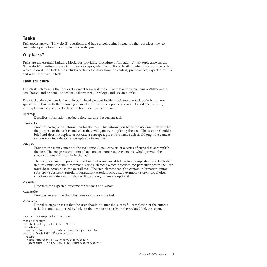# <span id="page-14-0"></span>**Tasks**

Task topics answer ″How do I?″ questions, and have a well-defined structure that describes how to complete a procedure to accomplish a specific goal.

### **Why tasks?**

Tasks are the essential building blocks for providing procedure information. A task topic answers the ″How do I?″ question by providing precise step-by-step instructions detailing what to do and the order in which to do it. The task topic includes sections for describing the context, prerequisites, expected results, and other aspects of a task.

### **Task structure**

The <task> element is the top-level element for a task topic. Every task topic contains a <title> and a <taskbody> and optional <titlealts>, <shortdesc>, <prolog>, and <related-links>.

The <taskbody> element is the main body-level element inside a task topic. A task body has a very specific structure, with the following elements in this order:  $\langle$ prereq>,  $\langle$  $\langle$ context>,  $\langle$ steps>,  $\langle$ result, <example> and <postreq>. Each of the body sections is optional.

#### **<prereq>**

Describes information needed before starting the current task.

#### **<context>**

Provides background information for the task. This information helps the user understand what the purpose of the task is and what they will gain by completing the task. This section should be brief and does not replace or recreate a concept topic on the same subject, although the context section may include some conceptual information.

#### **<steps>**

Provides the main content of the task topic. A task consists of a series of steps that accomplish the task. The <steps> section must have one or more <step> elements, which provide the specifics about each step in in the task.

The <step> element represents an action that a user must follow to accomplish a task. Each step in a task must contain a command <cmd> element which describes the particular action the user must do to accomplish the overall task. The step element can also contain information  $\langle$ info $\rangle$ , substeps <substeps>, tutorial information <tutorialinfo>, a step example <stepxmp>, choices <choices> or a stepresult <stepresult>, although these are optional.

#### **<result>**

Describes the expected outcome for the task as a whole.

#### **<example>**

Provides an example that illustrates or supports the task.

#### **<postreq>**

Describes steps or tasks that the user should do after the successful completion of the current task. It is often supported by links to the next task or tasks in the <related-links> section.

Here's an example of a task topic.

```
<task id="ertx">
<title>Creating an ERTX file</title>
<taskbody>
 <context>Each morning before breakfast you need to
create a fresh ERTX file.</context>
  <steps>
   <step><cmd>Start ERTX.</cmd></step></steps>
   <step><cmd>Click New ERTX File.</cmd></step></steps>
```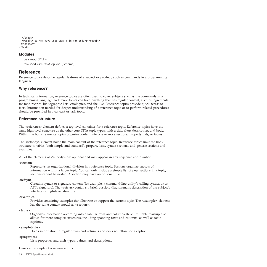```
</steps>
 <result>You now have your ERTX file for today!</result>
</taskbody>
</task>
```
### **Modules**

task.mod (DTD) taskMod.xsd, taskGrp.xsd (Schema)

# **Reference**

Reference topics describe regular features of a subject or product, such as commands in a programming language.

### **Why reference?**

In technical information, reference topics are often used to cover subjects such as the commands in a programming language. Reference topics can hold anything that has regular content, such as ingredients for food recipes, bibliographic lists, catalogues, and the like. Reference topics provide quick access to facts. Information needed for deeper understanding of a reference topic or to perform related procedures should be provided in a concept or task topic.

### **Reference structure**

The <reference> element defines a top-level container for a reference topic. Reference topics have the same high-level structure as the other core DITA topic types, with a title, short description, and body. Within the body, reference topics organize content into one or more sections, property lists, or tables.

The <refbody> element holds the main content of the reference topic. Reference topics limit the body structure to tables (both simple and standard), property lists, syntax sections, and generic sections and examples.

All of the elements of <refbody> are optional and may appear in any sequence and number.

#### **<section>**

Represents an organizational division in a reference topic. Sections organize subsets of information within a larger topic. You can only include a simple list of peer sections in a topic; sections cannot be nested. A section may have an optional title.

#### **<refsyn>**

Contains syntax or signature content (for example, a command-line utility's calling syntax, or an API's signature). The <refsyn> contains a brief, possibly diagrammatic description of the subject's interface or high-level structure.

#### **<example>**

Provides containing examples that illustrate or support the current topic. The <example> element has the same content model as <section>.

#### **<table>**

Organizes information according into a tabular rows and columns structure. Table markup also allows for more complex structures, including spanning rows and columns, as well as table captions.

### **<simpletable>**

Holds information in regular rows and columns and does not allow for a caption.

#### **<properties>**

Lists properties and their types, values, and descriptions.

Here's an example of a reference topic.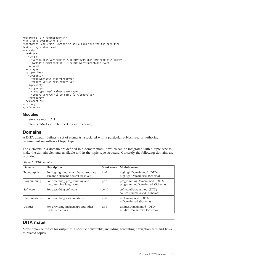```
<reference id = "boldproperty">
<title>Bold property</title>
<shortdesc>(Read-write) Whether to use a bold font for the specified
text string.</shortdesc>
<refbody>
 <refsyn>
    <synph>
      <var>object</var><delim>.</delim></delim>>></delim>></delim>
     <kwd>Bold</kwd><delim> = </delim><var>trueorfalse</var>
    </synph>
  </refsyn>
  <properties>
    <property>
     <proptype>Data type</proptype>
     <propvalue>Boolean</propvalue>
    </property>
    <property>
     <proptype>Legal values</proptype>
      <propvalue>True (1) or False (0)</propvalue>
    </property>
  </properties>
</refbody>
</reference>
```
### **Modules**

reference.mod (DTD) referenceMod.xsd, referenceGrp.xsd (Schema)

# **Domains**

A DITA domain defines a set of elements associated with a particular subject area or authoring requirement regardless of topic type.

The elements in a domain are defined in a domain module which can be integrated with a topic type to make the domain elements available within the topic type structure. Currently the following domains are provided:

| Domain           | Description                                                                 | Short name | Module name                                                   |
|------------------|-----------------------------------------------------------------------------|------------|---------------------------------------------------------------|
| Typographic      | For highlighting when the appropriate<br>semantic element doesn't exist yet | hi-d       | highlightDomain.mod (DTD)<br>highlightDomain.xsd (Schema)     |
| Programming      | For describing programming and<br>programming languages                     | pr-d       | programmingDomain.mod (DTD)<br>programmingDomain.xsd (Schema) |
| Software         | For describing software                                                     | sw-d       | softwareDomain.mod (DTD)<br>softwareDomain.xsd (Schema)       |
| User interfaces  | For describing user interfaces                                              | ui-d       | uiDomain.mod (DTD)<br>uiDomain.xsd (Schema)                   |
| <b>Utilities</b> | For providing imagemaps and other<br>useful structures                      | ut-d       | utilitiesDomain.mod (DTD)<br>utilitiesDomain.xsd (Schema)     |

*Table 1. DITA domains*

# **DITA maps**

Maps organize topics for output to a specific deliverable, including generating navigation files and links to related topics.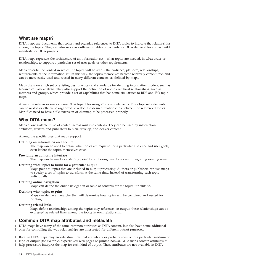# <span id="page-17-0"></span>**What are maps?**

DITA maps are documents that collect and organize references to DITA topics to indicate the relationships among the topics. They can also serve as outlines or tables of contents for DITA deliverables and as build manifests for DITA projects.

DITA maps represent the architecture of an information set – what topics are needed, in what order or relationships, to support a particular set of user goals or other requirements.

Maps describe the context in which the topics will be read – the audience, platform, relationships, requirements of the information set. In this way, the topics themselves become relatively context-free, and can be more easily used and reused in many different contexts, as defined by maps.

Maps draw on a rich set of existing best practices and standards for defining information models, such as hierarchical task analysis. They also support the definition of non-hierarchical relationships, such as matrices and groups, which provide a set of capabilities that has some similarities to RDF and ISO topic maps.

A map file references one or more DITA topic files using <topicref> elements. The <topicref> elements can be nested or otherwise organized to reflect the desired relationships between the referenced topics. Map files need to have a file extension of .ditamap to be processed properly

# **Why DITA maps?**

Maps allow scalable reuse of content across multiple contexts. They can be used by information architects, writers, and publishers to plan, develop, and deliver content.

Among the specific uses that maps support:

#### **Defining an information architecture**

The map can be used to define what topics are required for a particular audience and user goals, even before the topics themselves exist.

#### **Providing an authoring interface**

The map can be used as a starting point for authoring new topics and integrating existing ones.

#### **Defining what topics to build for a particular output**

Maps point to topics that are included in output processing. Authors or publishers can use maps to specify a set of topics to transform at the same time, instead of transforming each topic individually.

#### **Defining online navigation**

Maps can define the online navigation or table of contents for the topics it points to.

#### **Defining what topics to print**

Maps can define a hierarchy that will determine how topics will be combined and nested for printing.

### **Defining related links**

Maps define relationships among the topics they reference; on output, these relationships can be expressed as related links among the topics in each relationship.

#### **Common DITA map attributes and metadata** |

DITA maps have many of the same common attributes as DITA content, but also have some additional | ones for controlling the way relationships are interpreted for different output purposes.  $\blacksquare$ 

Because DITA maps may encode structures that are wholly or partially specific to a particular medium or | I kind of output (for example, hyperlinked web pages or printed books), DITA maps contain attributes to help processors interpret the map for each kind of output. These attributes are not available in DITA |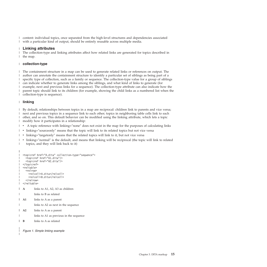content: individual topics, once separated from the high-level structures and dependencies associated | with a particular kind of output, should be entirely reusable across multiple media. |

### **Linking attributes** |

The collection-type and linking attributes affect how related links are generated for topics described in | I the map.

### **collection-type** |

The containment structure in a map can be used to generate related links or references on output. The author can annotate the containment structure to identify a particular set of siblings as being part of a specific type of collection, such as a family or sequence. The collection-type value for a group of siblings can indicate whether to generate links among the siblings, and what kind of links to generate (for example, next and previous links for a sequence). The collection-type attribute can also indicate how the parent topic should link to its children (for example, showing the child links as a numbered list when the collection-type is sequence). |  $\mathbf{I}$  $\mathbf{I}$ | | | |

### **linking** |

By default, relationships between topics in a map are reciprocal: children link to parents and vice versa; | next and previous topics in a sequence link to each other; topics in neighboring table cells link to each | other, and so on. This default behavior can be modified using the linking attribute, which lets a topic | modify how it participates in a relationship: |

- A topic reference with linking="none" does not exist in the map for the purposes of calculating links |
- linking="sourceonly" means that the topic will link to its related topics but not vice versa |
- linking="targetonly" means that the related topics will link to it, but not vice versa |
- v linking=″normal″ is the default, and means that linking will be reciprocal (the topic will link to related topics, and they will link back to it) | |

```
<topicref href="A.dita" collection-type="sequence">
    <topicref href="A1.dita"/>
     <topicref href="A2.dita"/>
 </topicref>
  <reltable>
     <relrow>
       <relcell>A.dita</relcell>
       <relcell>B.dita</relcell>
    </relrow>
  </reltable>
  A links to A1, A2, A3 as children
           links to B as related
  A1 links to A as a parent
           links to A2 as next in the sequence
  A2 links to A as a parent
           links to A1 as previous in the sequence
  B links to A as related
|
|
|
\mathbf{I}\blacksquare|
|
|
|
|
|
|
|
|
|
|
|
|
|
```
*Figure 1. Simple linking example*

| |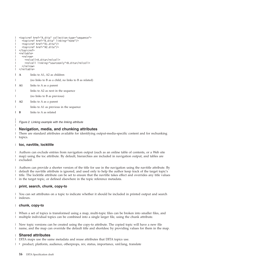```
<topicref href="A.dita" collection-type="sequence">
     <topicref href="B.dita" linking="none"/>
     <topicref href="A1.dita"/>
     <topicref href="A2.dita"/>
</topicref>
|
 <reltable>
     <relrow>
       <relcell>A.dita</relcell>
       <relcell linking="sourceonly">B.dita</relcell>
     \langlerelrow\rangle</reltable>
  A links to A1, A2 as children
            (no links to B as a child, no links to B as related)
  A1 links to A as a parent
            links to A2 as next in the sequence
            (no links to B as previous)
  A2 links to A as a parent
            links to A1 as previous in the sequence
            links to A as related
|
|
|
\perp|
|
|
|
|
|
|
|
|
|
|
|
|
\mathbf{B}
```
*Figure 2. Linking example with the linking attribute*

### **Navigation, media, and chunking attributes** |

There are standard attributes available for identifying output-media-specific content and for rechunking topics. |  $\blacksquare$ 

#### **toc, navtitle, locktitle** |

| | |

Authors can exclude entries from navigation output (such as an online table of contents, or a Web site | map) using the toc attribute. By default, hierarchies are included in navigation output, and tables are | excluded. |

Authors can provide a shorter version of the title for use in the navigation using the navtitle attribute. By | default the navtitle attribute is ignored, and used only to help the author keep track of the target topic's | title. The locktitle attribute can be set to ensure that the navtitle takes effect and overrides any title values | in the target topic, or defined elsewhere in the topic reference metadata. |

#### **print, search, chunk, copy-to**  $\mathbf{I}$ |

You can set attributes on a topic to indicate whether it should be included in printed output and search indexes. |  $\blacksquare$ 

#### **chunk, copy-to** |

When a set of topics is transformed using a map, multi-topic files can be broken into smaller files, and multiple individual topics can be combined into a single larger file, using the chunk attribute. | |

New topic versions can be created using the copy-to attribute. The copied topic will have a new file | name, and the map can override the default title and shortdesc by providing values for them in the map. |

#### **Shared attributes** |

DITA maps use the same metadata and reuse attributes that DITA topics use. |

| • product, platform, audience, otherprops, rev, status, importance, xml:lang, translate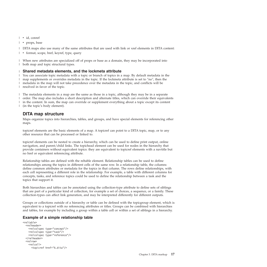- <span id="page-20-0"></span>| • id, conref
- | props, base

DITA maps also use many of the same attributes that are used with link or xref elements in DITA content: |

| • format, scope, href, keyref, type, query

When new attributes are specialized off of props or base as a domain, they may be incorporated into | both map and topic structural types. |

# **Shared metadata elements, and the lockmeta attribute** |

You can associate topic metadata with a topic or branch of topics in a map. By default metadata in the | map supplements or overrides metadata in the topic. If the lockmeta attribute is set to ″no″, then the | metadata in the map will not take precedence over the metadata in the topic, and conflicts will be | resolved in favor of the topic. |

The metadata elements in a map are the same as those in a topic, although they may be in a separate | order. The map also includes a short description and alternate titles, which can override their equivalents | in the content. In sum, the map can override or supplement everything about a topic except its content | (in the topic's body element). |

# **DITA map structure**

Maps organize topics into hierarchies, tables, and groups, and have special elements for referencing other maps.

topicref elements are the basic elements of a map. A topicref can point to a DITA topic, map, or to any other resource that can be processed or linked to.

topicref elements can be nested to create a hierarchy, which can be used to define print output, online navigation, and parent/child links. The topichead element can be used for nodes in the hierarchy that provide containers without equivalent topics: they are equivalent to topicref elements with a navtitle but no href or equivalent referencing attribute.

Relationship tables are defined with the reltable element. Relationship tables can be used to define relationships among the topics in different cells of the same row. In a relationship table, the columns define common attributes or metadata for the topics in that column. The rows define relationships, with each cell representing a different role in the relationship. For example, a table with different columns for concepts, tasks, and reference topics could be used to define the relationship between a task and the topics that support it.

Both hierarchies and tables can be annotated using the collection-type attribute to define sets of siblings that are part of a particular kind of collection, for example a set of choices, a sequence, or a family. These collection-types can affect link generation, and may be interpreted differently for different outputs.

Groups or collections outside of a hierarchy or table can be defined with the topicgroup element, which is equivalent to a topicref with no referencing attributes or titles. Groups can be combined with hierarchies and tables, for example by including a group within a table cell or within a set of siblings in a hierarchy.

### **Example of a simple relationship table**

```
<reltable>
  <relheader>
    <relcolspec type="concept"/>
    <relcolspec type="task"/>
    <relcolspec type="reference"/>
  </relheader>
  <relrow>
   <relcell>
      <topicref href="A.dita"/>
```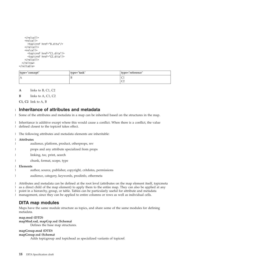```
</relcell>
    <relcell>
      <topicref href="B.dita"/>
    <relcell><relcell>
      <topicref href="C1.dita"/>
      <topicref href="C2.dita"/>
    </relcell>
  </relrow>
</reltable>
```

| type="concept" | type="task" | type="reference" |
|----------------|-------------|------------------|
| IА             |             | ◡                |
|                |             | $\sim$<br>∼      |

**A** links to B, C1, C2

**B** links to A, C1, C2

**C1, C2** link to A, B

#### **Inheritance of attributes and metadata** |

Some of the attributes and metadata in a map can be inherited based on the structures in the map. |

Inheritance is additive except where this would cause a conflict. When there is a conflict, the value defined closest to the topicref takes effect.  $\blacksquare$ |

The following attributes and metadata elements are inheritable: |

#### **Attributes** |

- audience, platform, product, otherprops, rev |
- props and any attribute specialized from props |
- linking, toc, print, search |
- chunk, format, scope, type |

**Elements** |

|

|

|

- author, source, publisher, copyright, critdates, permissions
- audience, category, keywords, prodinfo, othermeta |

Attributes and metadata can be defined at the root level (attributes on the map element itself, topicmeta | as a direct child of the map element) to apply them to the entire map. They can also be applied at any  $\overline{\phantom{a}}$ point in a hierarchy, group, or table. Tables can be particularly useful for attribute and metadata  $\blacksquare$ management, since they can be applied to entire columns or rows as well as individual cells.

# **DITA map modules**

Maps have the same module structure as topics, and share some of the same modules for defining metadata.

**map.mod (DTD) mapMod.xsd, mapGrp.xsd (Schema)** Defines the base map structures.

### **mapGroup.mod (DTD)**

### **mapGroup.xsd (Schema)**

Adds topicgroup and topichead as specialized variants of topicref.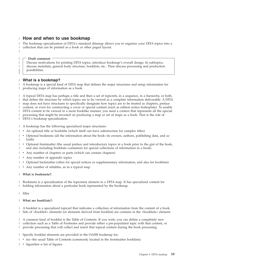# <span id="page-22-0"></span>**How and when to use bookmap** |

The bookmap specialization of DITA's standard ditamap allows you to organize your DITA topics into a collection that can be printed as a book or other paged layout. | | |

#### **Draft comment**

| | | | | |

Discuss motivations for printing DITA topics, introduce bookmap's overall design. In subtopics, discuss metadata, general body structure, booklists, etc.. Then discuss processing and production possibilities.

#### **What is a bookmap?** |

A bookmap is a special kind of DITA map that defines the major structures and setup information for producing maps of information as a book. | |

A typical DITA map has perhaps a title and then a set of topicrefs, in a sequence, in a hierarchy, or both, | that define the structure by which topics are to be viewed as a complete information deliverable. A DITA | map does not have structures to specifically designate how topics are to be treated as chapters, preface | content, or even for constructing a cover or special content (such as edition notice boilerplate). To enable | DITA content to be viewed in a more booklike manner, you need a context that represents all the special | processing that might be invested on producing a map or set of maps as a book. That is the role of DITA's bookmap specialization. | |

A bookmap has the following specialized major structures: |

- 1 An optional title or booktitle (which itself can have substructure for complex titles)
- | Optional bookmeta (all the information about the book--its owners, authors, publishing data, and so forth) |
- | Optional frontmatter (the usual preface and introductory topics in a book prior to the gist of the book, and also including booklists--containers for special collections of information in a book) |
- 1 Any number of chapters or parts (which can contain chapters)
- 1 Any number of appendix topics
- | Optional backmatter (often for special notices or supplementary information, and also for booklists)
- 1 Any number of reltables, as in a typical map.

#### **What is bookmeta?:** |

Bookmeta is a specialization of the topicmeta element in a DITA map. It has specialized content for | | holding information about a particular book represented by the bookmap.  $\mathbf{L}$ 

filler |

#### **What are booklists?:** |

A booklist is a specialized topicref that indicates a collection of information from the content of a book. | | Sets of <booklist> elements (or elements derived from booklist) are contains in the <br/> <br/> <br/>dooklists> element.

A common kind of booklist is the Table of Contents. If you wish, you can define a completely new | collection such as a Table of Footnotes and provide either a pre-populated topic with that content, or provide processing that will collect and insert that topical content during the book processing. | |

- Specific booklist elements are provided in the OASIS bookmap for: |
- $\cdot$  toc--the usual Table of Contents (commonly located in the frontmatter booklists)
- | figurelist--a list of figures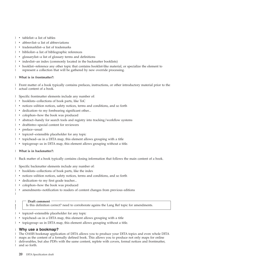- | tablelist--a list of tables
- | abbrevlist--a list of abbreviations
- | trademarklist--a list of trademarks
- | bibliolist--a list of bibliographic references
- | glossarylist--a list of glossary terms and definitions
- | indexlist--an index (commonly located in the backmatter booklists)
- v booklist--reference any other topic that contains booklist-like material, or specialize the element to represent a collection that will be gathered by new override processing. | |

#### **What is in frontmatter?:**  $\blacksquare$

Front matter of a book typically contains prefaces, instructions, or other introductory material prior to the | actual content of a book. |

Specific frontmatter elements include any number of: |

- v booklists--collections of book parts, like ToC
- v notices--edition notices, safety notices, terms and conditions, and so forth
- | dedication--to my forebearing significant other...
- | colophon--how the book was produced
- | abstract--handy for search tools and registry into tracking/workflow systems
- | draftintro--special content for reviewers
- | preface--usual

|

|

| | | |

- | topicref--extensible placeholder for any topic
- | topichead--as in a DITA map, this element allows grouping with a title
- | topicgroup--as in DITA map, this element allows grouping without a title.

#### **What is in backmatter?:** |

Back matter of a book typically contains closing information that follows the main content of a book. |

Specific backmatter elements include any number of:  $\blacksquare$ 

- | booklists--collections of book parts, like the index
- v notices--edition notices, safety notices, terms and conditions, and so forth
- | dedication--to my first grade teacher...
- v colophon--how the book was produced
- v amendments--notification to readers of content changes from previous editions |

#### **Draft comment**

Is this definition correct? need to corroborate agains the Lang Ref topic for amendments.

- topicref--extensible placeholder for any topic |
- v topichead--as in a DITA map, this element allows grouping with a title |
- topicgroup--as in DITA map, this element allows grouping without a title. |

### **Why use a bookmap?** |

I The OASIS bookmap application of DITA allows you to produce your DITA topics and even whole DITA maps as the content of a formally defined book. This allows you to produce not only maps for online | I deliverables, but also PDFs with the same content, replete with covers, formal notices and frontmatter, and so forth. |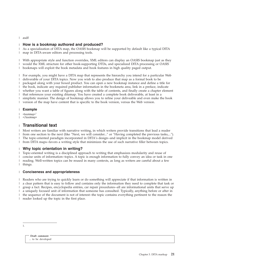<span id="page-24-0"></span>asdf |

#### **How is a bookmap authored and produced?** |

As a specialization of DITA map, the OASIS bookmap will be supported by default like a typical DITA map in DITA-aware editors and processing tools. | |

With appropriate style and function overrides, XML editors can display an OASIS bookmap just as they would the XML structure for other book-supporting DTDs, and specialized DITA processing or OASIS bookmaps will exploit the book metadata and book features in high quality paged output. | | |

For example, you might have a DITA map that represents the hierarchy you intend for a particular Web deliverable of your DITA topics. Now you wish to also produce that map as a formal book to be packaged along with your boxed product. You can open a new bookmap instance and define a title for the book, indicate any required publisher information in the bookmeta area, link in a preface, indicate whether you want a table of figures along with the table of contents, and finally create a chapter element that references your existing ditamap. You have created a complete book deliverable, at least in a simplistic manner. The design of bookmap allows you to refine your deliveable and even make the book version of the map have content that is specific to the book version, versus the Web version. | | | | | | |  $\blacksquare$ 

#### **Example** |

 $<$ bookmap $>1$ |

</bookmap> |

#### **Transitional text** |

Most writers are familiar with narrative writing, in which writers provide transitions that lead a reader from one section to the next (like ″Next, we will consider...″ or ″Having completed the previous tasks,...″). The topic-oriented paradigm incorporated in DITA's design--and implicit in the bookmap model derived from DITA maps--favors a writing style that minimizes the use of such narrative filler between topics. | | | |

#### **Why topic orientation in writing?** |

Topic-oriented writing is a disciplined approach to writing that emphasizes modularity and reuse of concise units of information--topics. A topic is enough information to fully convey an idea or task in one reading. Well-written topics can be reused in many contexts, as long as writers are careful about a few things. | | | |

#### **Conciseness and appropriateness** |

Readers who are trying to quickly learn or do something will appreciate if that information is written in | | a clear pattern that is easy to follow and contains only the information they need to complete that task or grasp a fact. Recipes, encyclopedia entries, car repair procedures--all are informational units that serve up L | a uniquely focused unit of information that someone has consulted. Typically, anything before or after in | | the sequence of the document is not of interest--the topic contains everything pertinent to the reason the reader looked up the topic in the first place. |

1.

**Draft comment** ... to be developed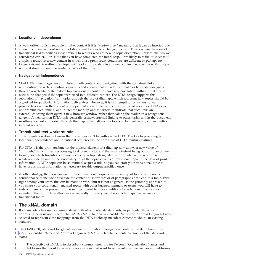### <span id="page-25-0"></span>**Locational independence** |

A well-written topic is reusable in other context if it is "context free," meaning that it can be inserted into | a new document without revision of its content to refer to a changed context. This is where the issue of transitional text is perhaps most obvious to writers who are new to topic orientation. Phrases like ″As we | considered earlier...″ or ″Now that you have completed the initial step...″ are likely to make little sense if a topic is reused in a new context in which those preliminary conditions are different or perhaps no longer existent. A well-written topic will read appropriately in any new context because the writing style within it does not lead the reader outside of the topic.  $\blacksquare$  $\mathbf{I}$  $\blacksquare$ | |

#### **Navigational independence** |

Most HTML web pages are a mixture of both content and navigation, with the contained links representing the web of reading sequences and choices that a reader can make as he or she navigates through a web site. A standalone topic obviously should not have any navigation within it that would need to be changed if the topic were used in a different context. The DITA design supports this separation of navigation from topics through the use of ditamaps, which represent how topics should be organized for particular information deliverables. However, it is still tempting for writers to want to provide links within the content of a topic that allow a reader to consult external resources. DITA does not prohibit such linking, and in fact the markup allows writers to indicate that such links are external--choosing them opens a new browser window rather than taking the reader on a navigational tangent. A well-written DITA topic generally eschews internal linking to other topics within the document set--these are best supported through the map, which allows the topics to be used in any context without internal revision. |  $\blacksquare$ | | | | | | |  $\perp$  $\blacksquare$ |

#### **Transitional text workarounds** |

Topic orientation does not mean that transitions can't be authored in DITA. The key to providing both locational independence and intentional sequences is the adroit use of DITA markup features. | |

For DITA 1.1, the print attribute on the topicref element of a ditamap now allows a new value of "printonly," which directs processing to skip such a topic if the map is instead being output to an online format, for which transitions are not necessary. A topic designated as printonly can be written in | whatever style an author feels necessary to let the topic serve as a transitional topic in the flow of printed I information. A DITA topic can be as minimal as just a title, so you can craft your transitional topic to have just as much information as necessary for this output-specific nonce.  $\blacksquare$ | | |

Another strategg that you can use to insert transitional sequences into a map of topics is the use of conditionality to include or exclude the content of shortdescs or of paragraphs at the end of a topic. With rigor among your team, this can be made to work, but it is not as general as the printonly approach--if you share your conditionally marked topics with other business partners or teams, you will have to instruct them on the proper runtime settings to enable those conditions to be honored the way you | intended. The printonly method works generally for everyone who inherits maps that reference transitional topics.  $\blacksquare$ |  $\blacksquare$ |  $\blacksquare$ |

# **The xNAL domain** |

Book metadata has many commonalities with other metadata standards, in particular those for addressing persons and places. The OASIS xNAL Standard (extensible Name and Address Language) was selected to represent close mappings from the DITA bookmap metadata content model to an existing standard. |  $\blacksquare$ |  $\blacksquare$ 

The OASIS CIQ standard for global customer information management contains the definition of the OASIS [extensible](http://www.oasis-open.org/committees/ciq/ciq.html#4) Name and Address Language (xNAL) metadata elements. Version 2 of the standard states: |  $\blacksquare$ |

The objective of xNAL is to describe a common structure for Personal/Organization Names and Addresses that would enable any applications that want to represent customer names and addresses

| |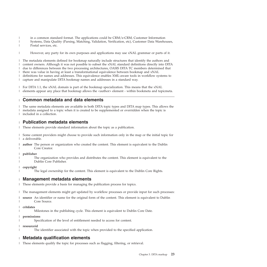- <span id="page-26-0"></span>in a common standard format. The applications could be CRM/e-CRM, Customer Information |
- Systems, Data Quality (Parsing, Matching, Validation, Verification, etc), Customer Data Warehouses, Postal services, etc. | |
- However, any party for its own purposes and applications may use xNAL grammar or parts of it. |

The metadata elements defined for bookmap naturally include structures that identify the authors and content owners. Although it was not possible to subset the xNAL standard definitions directly into DITA due to differences between the two processing architectures, OASIS DITA TC members determined that there was value in having at least a transformational equivalence between bookmap and xNAL | definitions for names and addresses. This equivalence enables XML-aware tools in workflow systems to | capture and manipulate DITA bookmap names and addresses in a standard way. | | | |

For DITA 1.1, the xNAL domain is part of the bookmap specialization. This means that the xNAL | elements appear any place that bookmap allows the <author> element - within bookmeta and topicmeta. |

#### **Common metadata and data elements** |

The same metadata elements are available in both DITA topic types and DITA map types. This allows the metadata assigned to a topic when it is created to be supplemented or overridden when the topic is I included in a collection. | |

#### **Publication metadata elements** |

These elements provide standard information about the topic as a publication. |

Some content providers might choose to provide such information only in the map or the initial topic for | a deliverable.  $\blacksquare$ 

**author** The person or organization who created the content. This element is equivalent to the Dublin Core Creator. | |

**publisher**

| | |

|

|

|

|

The organization who provides and distributes the content. This element is equivalent to the Dublin Core Publisher.

**copyright** |

The legal ownership for the content. This element is equivalent to the Dublin Core Rights.

#### **Management metadata elements** |

These elements provide a basis for managing the publication process for topics. L |

The management elements might get updated by workflow processes or provide input for such processes: |

- **source** An identifier or name for the original form of the content. This element is equivalent to Dublin Core Source.  $\mathsf{I}$ |
- **critdates** |

Milestones in the publishing cycle. This element is equivalent to Dublin Core Date.

**permissions** |

Specification of the level of entitlement needed to access for content.

#### **resourceid** |

The identifier associated with the topic when provided to the specified application.

#### **Metadata qualification elements** |

These elements qualify the topic for processes such as flagging, filtering, or retrieval. |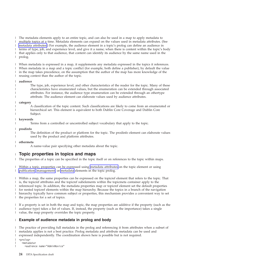<span id="page-27-0"></span>The metadata elements apply to an entire topic, and can also be used in a map to apply metadata to | multiple topics at a time. Metadata elements can expand on the values used in metadata attributes. (See | metadata [attributes.](#page-31-0)) For example, the audience element in a topic's prolog can define an audience in | terms of type, job, and experience level, and give it a name; when there is content within the topic's body that applies only to that audience, that content can identify its audience by the same name used in the prolog. |  $\mathbf{I}$  $\|$ 

When metadata is expressed in a map, it supplements any metadata expressed in the topics it references. | When metadata in a map and a topic conflict (for example, both define a publisher), by default the value in the map takes precedence, on the assumption that the author of the map has more knowledge of the reusing context than the author of the topic. |  $\blacksquare$  $\blacksquare$ 

#### **audience**

| | | | | | | | | | | | | |

The type, job, experience level, and other characteristics of the reader for the topic. Many of these characteristics have enumerated values, but the enumeration can be extended through associated attributes. For instance, the audience type enumeration can be extended through an othertype attribute. The audience element can elaborate values used by audience attributes.

#### **category**

A classification of the topic content. Such classifications are likely to come from an enumerated or hierarchical set. This element is equivalent to both Dublin Core Coverage and Dublin Core Subject.

#### **keywords**

Terms from a controlled or uncontrolled subject vocabulary that apply to the topic.

#### **prodinfo**

The definition of the product or platform for the topic. The prodinfo element can elaborate values used by the product and platform attributes.

#### **othermeta** |

|

| | | A name-value pair specifying other metadata about the topic.

#### **Topic properties in topics and maps** |

The properties of a topic can be specified in the topic itself or on references to the topic within maps. |

Within a topic, properties can be expressed using metadata [attributes](#page-31-0) on the topic element or using [publication,](#page-26-0) [management,](#page-26-0) or [metadata](#page-26-0) elements in the topic prolog. | |

Within a map, the same properties can be expressed on the topicref element that refers to the topic. That | is, the topicref attributes and the topicref subelements within the topicmeta container apply to the | referenced topic. In addition, the metadata properties map or topicref element set the default properties for nested topicref elements within the map hierarchy. Because the topics in a branch of the navigation | hierarchy typically have common subject or properties, this mechanism provides a convenient way to set the properties for a set of topics. | | |

If a property is set in both the map and topic, the map properties are additive if the property (such as the | audience type) takes a list of values. If, instead, the property (such as the importance) takes a single value, the map property overrides the topic property. |  $\blacksquare$ 

#### **Example of audience metadata in prolog and body** |

The practice of providing full metadata in the prolog and referencing it from attributes when a subset of | metadata applies is not a best practice. Prolog metadata and attribute metadata can be used and | expressed independently. The coordination shown here is possible but is not required. |

```
<prolog>
 <metadata>
    <audience name="AdminNovice"
```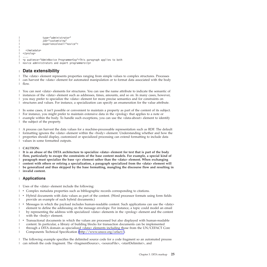```
type="administrator"
                 job="customizing"
                 experiencelevel="novice">
    </metadata>
</prolog>
|
   ....
 <p audience="AdminNovice ProgrammerExp">This paragraph applies to both
novice administrators and expert programmers</p>
|
|
|
|
|
\perp
```
#### **Data extensibility** |

| |

The <data> element represents properties ranging from simple values to complex structures. Processes can harvest the <data> element for automated manipulation or to format data associated with the body flow. | | |

You can nest <data> elements for structures. You can use the name attribute to indicate the semantic of | instances of the <data> element such as addresses, times, amounts, and so on. In many cases, however, you may prefer to specialize the <data> element for more precise semantics and for constraints on structures and values. For instance, a specialization can specify an enumeration for the value attribute. | | |

In some cases, it isn't possible or convenient to maintain a property as part of the content of its subject. | For instance, you might prefer to maintain extensive data in the  $\langle$ prolog $\rangle$  that applies to a note or example within the body. To handle such exceptions, you can use the <data-about> element to identify the subject of the property. | | |

A process can harvest the data values for a machine-processable representation such as RDF. The default formatting ignores the <data> element within the <body> element. Understanding whether and how the properties should display, customized or specialized processing can extend formatting to include data values in some formatted outputs. | | | |

### **CAUTION:** |

 $\perp$  It is an abuse of the DITA architecture to specialize <data> element for text that is part of the body **flow, particularly to escape the constraints of the base content models. For example, a special kind of** | **paragraph must specialize the base <p> element rather than the <data> element. When exchanging content with others or retiring a specialization, a paragraph specialized from the <data> element will be generalized and thus skipped by the base formatting, mangling the discourse flow and resulting in invalid content.** |  $\blacksquare$ | |

### **Applications** |

Uses of the <data> element include the following: |

- **•** Complex metadata properties such as bibliographic records corresponding to citations.
- v Hybrid documents with data values as part of the content. (Word processor formats using form fields provide an example of such hybrid documents.) | |
- v Messages in which the payload includes human-readable content. Such applications can use the <data> element to define the addressing on the message envelope. For instance, a topic could model an email by representing the address with specialized <data> elements in the <prolog> element and the content with the <br/>body> element. | | | |
- <sup>1</sup> Transactional documents in which the values are processed but also displayed with human-readable content. In particular, a library of building blocks for transaction documents can be implemented through a DITA domain as specialized <data> elements including those from the UN/CEFACT Core Components Technical Specification [\(http://www.unece.org/cefact/\)](http://www.unece.org/cefact/). | | |

The following example specifies the delimited source code for a code fragment so an automated process can refresh the code fragment. The <fragmentSource>, <sourceFile>, <startDelimiter>, and | |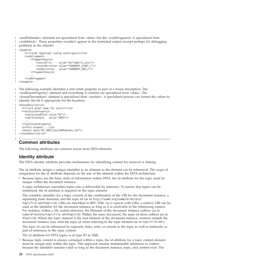<span id="page-29-0"></span>| <endDelimiter> elements are specialized from <data> but the <codeFragment> is specialized from <codeblock>. These properties wouldn't appear in the formatted output (except perhaps for debugging problems in the refresh):  $\blacksquare$  $\mathbf{I}$ 

```
<example>
       <title>An important coding technique</title>
       <codeFragment>
           <fragmentSource>
               <sourceFile value="helloWorld.java"/>
               <startDelimiter value="FRAGMENT_START_1"/>
               \leqendDelimiter value="FRAGMENT END 1^{\frac{1}{1}}/>
           </fragmentSource>
           ...
       </codeFragment>
  </example>
|
|
```
The following example identifies a real estate property as part of a house description. The <realEstateProperty> element and everything it contains are specialized from <data>. The <houseDescription> element is specialized from <section>. A specialized process can format the values to I identify the lot if appropriate for the brochure.

```
<houseDescription>
  <title>A great home for sale</title>
  <realEstateProperty>
    <realEstateBlock value="B7"/>
    <realEstateLot value="4003"/>
    ...
  </realEstateProperty>
  <p>This elegant....</p>
  <object data="B7_4003_tour360Degrees.swf"/>
</houseDescription>
```
| |

| |

| | | | | | |

| | |

| | | |  $\blacksquare$ |  $\blacksquare$ | |

# **Common attributes**

The following attributes are common across most DITA elements.

# **Identity attribute**

The DITA identity attribute provides mechanisms for identifying content for retrieval or linking.

The id attribute assigns a unique identifier to an element so the element can be referenced. The scope of uniqueness for the id attribute depends on the role of the element within the DITA architecture:

v Because topics are the basic units of information within DITA, the id attribute for the topic must be unique within the document instance.

A topic architecture assembles topics into a deliverable by reference. To ensure that topics can be referenced, the id attribute is required on the topic element.

The complete identifier for a topic consists of the combination of the URI for the document instance, a separating hash character, and the topic id (as in http://some.org/some/directory/ topicfile.xml#topicid). URIs are described in RFC 2396. As is typical with URIs, a relative URI can be used as the identifier for the document instance so long as it is resolvable in the referencing context. For instance, within a file system directory, the filename of the document instance suffices (as in some/directory/topicfile.xml#topicid). Within the same document, the topic id alone suffices (as in #topicid). Where the topic element is the root element of the document instance, contexts outside the document instance may omit the topic id when referring to the topic element (as in topicfile.xml).

The topic id can be referenced by topicrefs, links, xrefs, or conrefs to the topic as well as indirectly as part of references to the topic content.

The id attribute for DITA topics is of type ID in XML.

Because topic content is always contained within a topic, the id attribute for a topic content element must be unique only within the topic. This approach ensures maintainable references to content because the identifier remains valid so long as the document instance, topic, and content exist. The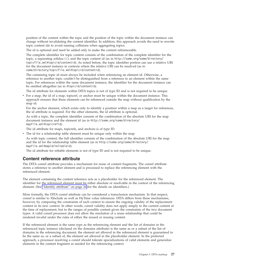<span id="page-30-0"></span>position of the content within the topic and the position of the topic within the document instance can change without invalidating the content identifier. In addition, this approach avoids the need to rewrite topic content ids to avoid naming collisions when aggregating topics.

The id is optional and need be added only to make the content referenceable.

The complete identifier for topic content consists of the combination of the complete identifier for the topic, a separating solidus (/), and the topic content id (as in http://some.org/some/directory/ topicfile.xml#topicid/contentid). As noted before, the topic identifier portion can use a relative URI for the document instance in contexts where the relative URI can be resolved (as in some/directory/topicfile.xml#topicid/contentid).

The containing topic id must always be included when referencing an element id. Otherwise, a reference to another topic couldn't be distinguished from a reference to an element within the same topic. For references within the same document instance, the identifier for the document instance can be omitted altogether (as in #topicid/contentid).

The id attribute for elements within DITA topics is not of type ID and is not required to be unique.

For a map, the id of a map, topicref, or anchor must be unique within the document instance. This approach ensures that these elements can be referenced outside the map without qualification by the map id.

For the anchor element, which exists only to identify a position within a map as a target for references, the id attribute is required. For the other elements, the id attribute is optional.

As with a topic, the complete identifier consists of the combination of the absolute URI for the map document instance and the element id (as in http://some.org/some/directory/ mapfile.xml#topicrefid).

The id attribute for maps, topicrefs, and anchors is of type ID.

v The id for a relationship table element must be unique only within the map.

As with topic content, the full identifier consists of the combination of the absolute URI for the map and the id for the relationship table element (as in http://some.org/some/directory/ mapfile.xml#mapid/reltableid).

The id attribute for reltable elements is not of type ID and is not required to be unique.

# **Content reference attribute**

The DITA conref attribute provides a mechanism for reuse of content fragments. The conref attribute stores a reference to another element and is processed to replace the referencing element with the referenced element.

The element containing the content reference acts as a placeholder for the referenced element. The identifier for the referenced element must be either absolute or resolvable in the context of the referencing element. (See "Identity [attribute"](#page-29-0) on page 26 for the details on identifiers.)

More formally, the DITA conref attribute can be considered a transclusion mechanism. In that respect, conref is similar to XInclude as well as HyTime value references. DITA differs from these mechanisms, however, by comparing the constraints of each context to ensure the ongoing validity of the replacement content in its new context. In other words, conref validity does not apply simply to the current content at the time of replacement, but to the ranges of possible content given the constraints of the two document types. A valid conref processor does not allow the resolution of a reuse relationship that could be rendered invalid under the rules of either the reused or reusing content.

If the referenced element is the same type as the referencing element and the list of domains in the referenced topic instance (declared on the domains attribute) is the same as or a subset of the list of domains in the referencing document, the element set allowed in the referenced element is guaranteed to be the same as, or a subset of, the element set allowed in the placeholder element. In the preferred approach, a processor resolving a conref should tolerate specializations of valid elements and generalize elements in the content fragment as needed for the referencing context.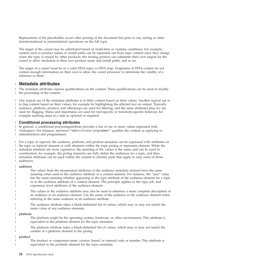<span id="page-31-0"></span>Replacement of the placeholder occurs after parsing of the document but prior to any styling or other transformational or presentational operations on the full topic.

The target of the conref may be substituted based on build-time or runtime conditions. For example, content such as product names or install paths can be separated out from topic content since they change when the topic is reused by other products; the reusing product can substitute their own targets for the conref to allow resolution to their own product name and install paths, and so on.

The target of a conref must be in a valid DITA topic or DITA map. Fragments of DITA content do not contain enough information on their own to allow the conref processor to determine the validity of a reference to them.

#### **Metadata attributes** |

The metadata attributes express qualifications on the content. These qualifications can be used to modify | the processing of the content. |

One typical use of the metadata attributes is to filter content based on their values. Another typical use is to flag content based on their values, for example by highlighting the affected text on output. Typically audience, platform, product, and otherprops are used for filtering, and the same attributes plus rev are used for flagging. Status and importance are used for tool-specific or transform-specific behavior, for example marking steps in a task as optional or required.  $\blacksquare$ |  $\blacksquare$  $\blacksquare$ |

#### **Conditional processing attributes** |

In general, a conditional processingattribute provides a list of one or more values separated with whitespace. For instance, audience="administrator programmer" qualifies the content as applying to administrators and programmers. |  $\blacksquare$ |

For a topic or topicref, the audience, platform, and product metadata can be expressed with attributes on the topic or topicref element or with elements within the topic prolog or topicmeta element. While the metadata elements are more expressive, the meaning of the values is the same, and can be used in coordination: for example, the prolog elements can fully define the audiences for a topic, and then metadata attributes can be used within the content to identify parts that apply to only some of those audiences.  $\blacksquare$ | |  $\blacksquare$ | |

#### **audience**

| | | | | | | | | | | | | | | | | | |

The values from the enumerated attributes of the audience metadata element have the same meaning when used in the audience attribute of a content element. For instance, the ″user″ value has the same meaning whether appearing in the type attribute of the audience element for a topic or in the audience attribute of a content element. The principle applies to the type, job, and experience level attributes of the audience element.

The values in the audience attribute may also be used to reference a more complete description of an audience in an audience element. Use the name of the audience in the audience element when referring to the same audience in an audience attribute.

The audience attribute takes a blank-delimited list of values, which may or may not match the name value of any audience elements.

**platform**

The platform might be the operating system, hardware, or other environment. This attribute is equivalent to the platform element for the topic metadata.

The platform attribute takes a blank-delimited list of values, which may or may not match the content of a platform element in the prolog.

**product**

The product or component name, version, brand, or internal code or number. This attribute is equivalent to the prodinfo element for the topic metadata.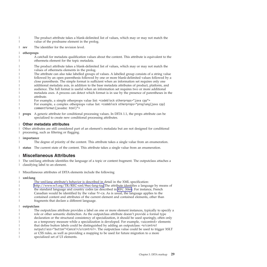<span id="page-32-0"></span>The product attribute takes a blank-delimited list of values, which may or may not match the value of the prodname element in the prolog. | |

The identifier for the revision level. |

#### **otherprops** |

| | | | | | | | | | | | | |

|

|

| | | | | | | | | | | | | | |

 $\overline{\phantom{a}}$ 

A catchall for metadata qualification values about the content. This attribute is equivalent to the othermeta element for the topic metadata.

The product attribute takes a blank-delimited list of values, which may or may not match the values of othermeta elements in the prolog.

The attribute can also take labelled groups of values. A labelled group consists of a string value followed by an open parenthesis followed by one or more blank-delimited values followed by a close parenthesis. The simple format is sufficient when an information set requires only one additional metadata axis, in addition to the base metadata attributes of product, platform, and audience. The full format is useful when an information set requires two or more additional metadata axes. A process can detect which format is in use by the presence of parentheses in the attribute.

For example, a simple otherprops value list: <codeblock otherprops="java cpp"> For example, a complex otherprops value list: <codeblock otherprops="proglang(java cpp) commentformat(javadoc html)">

**props** A generic attribute for conditional processing values. In DITA 1.1, the props attribute can be specialized to create new conditional processing attributes. |

#### **Other metadata attributes** |

Other attributes are still considered part of an element's metadata but are not designed for conditional processing, such as filtering or flagging. | |

#### **importance** |

The degree of priority of the content. This attribute takes a single value from an enumeration.

**status** The current state of the content. This attribute takes a single value from an enumeration. |

#### **Miscellaneous Attributes** |

The xml:lang attribute identifies the language of a topic or content fragment. The outputclass attaches a classifying label to an element. | |

Miscellaneous attributes of DITA elements include the following |

#### **xml:lang** |

The xml:lang attribute's behavior is described in detail in the XML specification: <http://www.w3.org/TR/REC-xml/#sec-lang-tag> The attribute identifies a language by means of the standard language and country codes (as described in RFC [3066\)](http://www.ietf.org/rfc/rfc3066.txt). For instance, French Canadian would be identified by the value fr-ca. As is usual, the language applies to the contained content and attributes of the current element and contained elements, other than fragments that declare a different language.

#### **outputclass**

The outputclass attribute provides a label on one or more element instances, typically to specify a role or other semantic distinction. As the outputclass attribute doesn't provide a formal type declaration or the structural consistency of specialization, it should be used sparingly, often only as a temporary measure while a specialization is developed. For example, <uicontrol> elements that define button labels could be distinguished by adding an outputclass: <uicontrol outputclass="button">Cancel</uicontrol>. The outputclass value could be used to trigger XSLT or CSS rules, as well as providing a mapping to be used for future migration to a more specialized set of UI elements.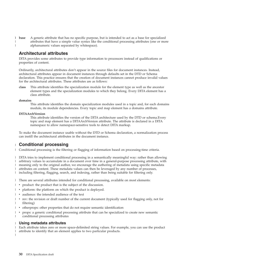<span id="page-33-0"></span>**base** A generic attribute that has no specific purpose, but is intended to act as a base for specialized attributes that have a simple value syntax like the conditional processing attributes (one or more alphanumeric values separated by whitespace). | base

# **Architectural attributes**

DITA provides some attributes to provide type information to processors instead of qualifications or properties of content.

Ordinarily, architectural attributes don't appear in the source files for document instances. Instead, architectural attributes appear in document instances through defaults set in the DTD or Schema declaration. This practice ensures that the creation of document instances cannot produce invalid values for the architectural attributes. These attributes are as follows:

**class** This attribute identifies the specialization module for the element type as well as the ancestor element types and the specialization modules to which they belong. Every DITA element has a class attribute.

#### **domains**

| |

> This attribute identifies the domain specialization modules used in a topic and, for each domains module, its module dependencies. Every topic and map element has a domains attribute.

#### **DITAArchVersion**

This attribute identifies the version of the DITA architecture used by the DTD or schema.Every topic and map element has a DITAArchVersion attribute. The attribute is declared in a DITA namespace to allow namespace-sensitive tools to detect DITA markup.

To make the document instance usable without the DTD or Schema declaration, a normalization process can instill the architectural attributes in the document instance.

# **Conditional processing** |

Conditional processing is the filtering or flagging of information based on processing-time criteria. |

DITA tries to implement conditional processing in a semantically meaningful way: rather than allowing | arbitrary values to accumulate in a document over time in a general-purpose processing attribute, with | meaning only to the original author, we encourage the authoring of metadata using specific metadata | attributes on content. These metadata values can then be leveraged by any number of processes, | l including filtering, flagging, search, and indexing, rather than being suitable for filtering only.

There are several attributes intended for conditional processing, available on most elements: |

- v product: the product that is the subject of the discussion. |
- | platform: the platform on which the product is deployed.
- v audience: the intended audience of the text |
- | rev: the revision or draft number of the current document (typically used for flagging only, not for filtering) |
- | otherprops: other properties that do not require semantic identification
- v props: a generic conditional processing attribute that can be specialized to create new semantic conditional processing attributes | |

#### **Using metadata attributes**  $\blacksquare$

Each attribute takes zero or more space-delimited string values. For example, you can use the product | attribute to identify that an element applies to two particular products. | |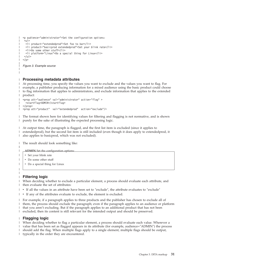```
<p audience="administrator">Set the configuration options:
 |<sub>u</sub>|><li product="extendedprod">Set foo to bar</li>
  <li product="basicprod extendedprod">Set your blink rate</li>
  <li>Do some other stuff</li>
  <li platform="Linux">Do a special thing for Linux</li>
\langle u| >\langle/p>
Figure 3. Example source
```
#### **Processing metadata attributes**  $\blacksquare$

| | | | | | | | | | |

|

|

| | |

At processing time, you specify the values you want to exclude and the values you want to flag. For example, a publisher producing information for a mixed audience using the basic product could choose to flag information that applies to administrators, and exclude information that applies to the extended product: | | |

```
<prop att="audience" val="administrator" action="flag" >
    <startflag>ADMIN</startflag>
  </prop>
  <prop att="product" val="extendedprod" action="exclude"/>
|
```
The format shown here for identifying values for filtering and flagging is not normative, and is shown purely for the sake of illustrating the expected processing logic. | |

At output time, the paragraph is flagged, and the first list item is excluded (since it applies to extendedprod), but the second list item is still included (even though it does apply to extendedprod, it also applies to basicprod, which was not excluded). | | |

The result should look something like: |

```
ADMIN Set the configuration options:
```
• Set your blink rate

| | | | | |

|

|

- Do some other stuff
- Do a special thing for Linux

#### **Filtering logic** |

| When deciding whether to exclude a particular element, a process should evaluate each attribute, and then evaluate the set of attributes: L

- v If all the values in an attribute have been set to ″exclude″, the attribute evaluates to ″exclude″ |
- I If any of the attributes evaluate to exclude, the element is excluded.

For example, if a paragraph applies to three products and the publisher has chosen to exclude all of them, the process should exclude the paragraph; even if the paragraph applies to an audience or platform that you aren't excluding. But if the paragraph applies to an additional product that has not been excluded, then its content is still relevant for the intended output and should be preserved. | | | |

### **Flagging logic** |

When deciding whether to flag a particular element, a process should evaluate each value. Wherever a | value that has been set as flagged appears in its attribute (for example, audience=″ADMIN″) the process | should add the flag. When multiple flags apply to a single element, multiple flags should be output, |

typically in the order they are encountered. |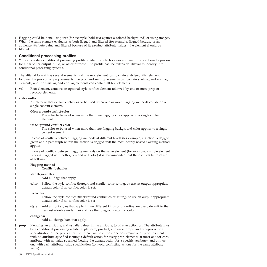Flagging could be done using text (for example, bold text against a colored background) or using images. |

When the same element evaluates as both flagged and filtered (for example, flagged because of an |

audience attribute value and filtered because of its product attribute values), the element should be | filtered.  $\blacksquare$ 

#### **Conditional processing profiles** |

You can create a conditional processing profile to identify which values you want to conditionally process for a particular output, build, or other purpose. The profile has the extension .ditaval to identify it to conditional processing systems.  $\blacksquare$ | |

The .ditaval format has several elements: val, the root element, can contain a style-conflict element followed by prop or revprop elements; the prop and revprop elements can contain startflag and endflag elements; and the startflag and endflag elements can contain alt-text elements.  $\blacksquare$  $\blacksquare$ |

**val** Root element, contains an optional style-conflict element followed by one or more prop or revprop elements. | |

#### **style-conflict**

| | | | | | | | | | | | | | |

| | | | | | | | | | | | |

An element that declares behavior to be used when one or more flagging methods collide on a single content element.

#### **@foreground-conflict-color**

The color to be used when more than one flagging color applies to a single content element.

#### **@background-conflict-color**

The color to be used when more than one flagging background color applies to a single content element.

In case of conflicts between flagging methods at different levels (for example, a section is flagged green and a paragraph within the section is flagged red) the most deeply nested flagging method applies.

In case of conflicts between flagging methods on the same element (for example, a single element is being flagged with both green and red color) it is recommended that the conflicts be resolved as follows:

### **Flagging method**

#### **Conflict behavior**

#### **startflag/endflag**

Add all flags that apply.

**color** Follow the style-conflict @foreground-conflict-color setting, or use an output-appropriate default color if no conflict color is set.

#### **backcolor**

Follow the style-conflict @background-conflict-color setting, or use an output-appropriate default color if no conflict color is set

**style** Add all font styles that apply. If two different kinds of underline are used, default to the heaviest (double underline) and use the foreground-conflict-color.

#### **changebar**

Add all change bars that apply.

**prop** Identifies an attribute, and usually values in the attribute, to take an action on. The attribute must be a conditional processing attribute: platform, product, audience, props. and otheprops; or a specialization of the props attribute. There can be at most one occurrence of a ″prop″ element with no attribute specified (setting a default action for every prop element), at most one for each attribute with no value specified (setting the default action for a specific attribute), and at most one with each attribute value specification (to avoid conflicting actions for the same attribute value). | | | | | | |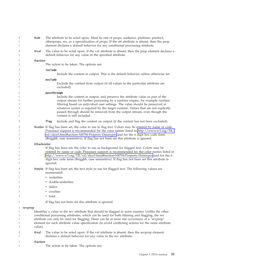|         | @att       | The attribute to be acted upon. Must be one of props, audience, platform, product,<br>otherprops, rev, or a specialization of props. If the att attribute is absent, then the prop<br>element declares a default behavior for any conditional processing attribute.                                                                                                                                                                                            |
|---------|------------|----------------------------------------------------------------------------------------------------------------------------------------------------------------------------------------------------------------------------------------------------------------------------------------------------------------------------------------------------------------------------------------------------------------------------------------------------------------|
|         | @val       | The value to be acted upon. If the val attribute is absent, then the prop element declares a<br>default behavior for any value in the specified attribute.                                                                                                                                                                                                                                                                                                     |
|         | @action    |                                                                                                                                                                                                                                                                                                                                                                                                                                                                |
|         |            | The action to be taken. The options are:                                                                                                                                                                                                                                                                                                                                                                                                                       |
|         |            | include                                                                                                                                                                                                                                                                                                                                                                                                                                                        |
|         |            | Include the content in output. This is the default behavior unless otherwise set.                                                                                                                                                                                                                                                                                                                                                                              |
|         |            | exclude<br>Exclude the content from output (if all values in the particular attribute are<br>excluded).                                                                                                                                                                                                                                                                                                                                                        |
|         |            | passthrough<br>Include the content in output, and preserve the attribute value as part of the<br>output stream for further processing by a runtime engine, for example runtime<br>filtering based on individual user settings. The value should be preserved in<br>whatever syntax is required by the target runtime. Values that are not explicitly<br>passed through should be removed from the output stream, even though the<br>content is still included. |
|         |            | flag<br>Include and flag the content on output (if the content has not been excluded).                                                                                                                                                                                                                                                                                                                                                                         |
|         |            | @color If flag has been set, the color to use to flag text. Colors may be entered by name or code.<br>Processor support is recommended for the color names listed in http://www.w3.org/TR/<br>xsl/slice5.html#section-N8794-Property-Datatypes and for the 6 digit hex code form<br>(#rrggbb, case insensitive). If flag has not been set this attribute is ignored.                                                                                           |
|         | @backcolor |                                                                                                                                                                                                                                                                                                                                                                                                                                                                |
|         |            | If flag has been set, the color to use as background for flagged text. Colors may be<br>entered by name or code. Processor support is recommended for the color names listed in<br>http://www.w3.org/TR/xsl/slice5.html#section-N8794-Property-Datatypes and for the 6<br>digit hex code form (#rrggbb, case insensitive). If flag has not been set this attribute is<br>ignored.                                                                              |
|         |            | @style If flag has been set, the text style to use for flagged text. The following values are<br>enumerated:                                                                                                                                                                                                                                                                                                                                                   |
|         |            | • underline                                                                                                                                                                                                                                                                                                                                                                                                                                                    |
|         |            | double-underline                                                                                                                                                                                                                                                                                                                                                                                                                                               |
|         |            | • italics                                                                                                                                                                                                                                                                                                                                                                                                                                                      |
|         |            | • overline                                                                                                                                                                                                                                                                                                                                                                                                                                                     |
|         |            | • bold                                                                                                                                                                                                                                                                                                                                                                                                                                                         |
|         |            | If flag has not been set this attribute is ignored.                                                                                                                                                                                                                                                                                                                                                                                                            |
| revprop | value).    | Identifies a value in the rev attribute that should be flagged in some manner. Unlike the other<br>conditional processing attributes, which can be used for both filtering and flagging, the rev<br>attribute can only be used for flagging. There can be at most one occurrence of a "revprop"<br>element for each attribute value specification (to avoid conflicting actions for the same attribute                                                         |
|         | @val       | The value to be acted upon. If the val attribute is absent, then the revprop element<br>declares a default behavior for any value in the rev attribute.                                                                                                                                                                                                                                                                                                        |
|         | @action    | The action to be taken. The options are:                                                                                                                                                                                                                                                                                                                                                                                                                       |
|         |            |                                                                                                                                                                                                                                                                                                                                                                                                                                                                |

 $\ensuremath{\mathsf{I}}$  $\|$  $\|$  $\|$  $\|$  $\,$   $\,$ |  $\begin{array}{c} \hline \end{array}$ | |  $\vert$ | |  $\begin{array}{c} \hline \end{array}$  $\begin{array}{c} \hline \end{array}$  $\vert$  $\begin{array}{c} \hline \end{array}$  $\vert$ |

||  $\vert$  $\begin{array}{c} \hline \end{array}$  $\vert$ | |  $\,$   $\,$  $\|$  $\|$ |  $\sf I$  $\|$ |  $\begin{array}{c} \hline \end{array}$ | |  $\begin{array}{c} \hline \end{array}$  $\|$ 

 $\begin{array}{c} \hline \end{array}$  $\sf I$ 

 $\|$  $\|$  $\|$  $\|$  $\|$ |  $\|$  $\bar{\mathbb{I}}$  $\|$ 

 $\overline{1}$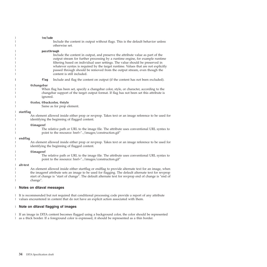| include<br>Include the content in output without flags. This is the default behavior unless<br>otherwise set.                                                                                                                                                                                                                                                                                                                                                  |
|----------------------------------------------------------------------------------------------------------------------------------------------------------------------------------------------------------------------------------------------------------------------------------------------------------------------------------------------------------------------------------------------------------------------------------------------------------------|
| passthrough<br>Include the content in output, and preserve the attribute value as part of the<br>output stream for further processing by a runtime engine, for example runtime<br>filtering based on individual user settings. The value should be preserved in<br>whatever syntax is required by the target runtime. Values that are not explicitly<br>passed through should be removed from the output stream, even though the<br>content is still included. |
| flag<br>Include and flag the content on output (if the content has not been excluded).                                                                                                                                                                                                                                                                                                                                                                         |
| @changebar<br>When flag has been set, specify a changebar color, style, or character, according to the<br>changebar support of the target output format. If flag has not been set this attribute is<br>ignored.                                                                                                                                                                                                                                                |
| @color, @backcolor, @style<br>Same as for prop element.                                                                                                                                                                                                                                                                                                                                                                                                        |
| startflag<br>An element allowed inside either prop or revprop. Takes text or an image reference to be used for<br>identifying the beginning of flagged content.                                                                                                                                                                                                                                                                                                |
| @imageref<br>The relative path or URL to the image file. The attribute uses conventional URL syntax to<br>point to the resource: href="/images/construction.gif"                                                                                                                                                                                                                                                                                               |
| endflag<br>An element allowed inside either prop or revprop. Takes text or an image reference to be used for<br>identifying the beginning of flagged content.                                                                                                                                                                                                                                                                                                  |
| @imageref<br>The relative path or URL to the image file. The attribute uses conventional URL syntax to<br>point to the resource: href="/images/construction.gif"                                                                                                                                                                                                                                                                                               |
| alt-text<br>An element allowed inside either startflag or endflag to provide alternate text for an image, when<br>the imageref attribute sets an image to be used for flagging. The default alternate text for revprop<br>start of change is "start of change". The default alternate text for revprop end of change is "end of<br>change".                                                                                                                    |

### **Notes on ditaval messages** |

It is recommended but not required that conditional processing code provide a report of any attribute | values encountered in content that do not have an explicit action associated with them. |

#### **Note on ditaval flagging of images** |

If an image in DITA content becomes flagged using a background color, the color should be represented | as a thick border. If a foreground color is expressed, it should be represented as a thin border. |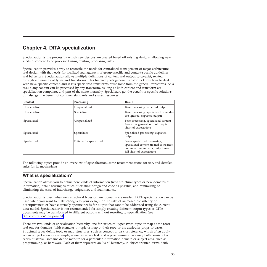# <span id="page-38-0"></span>**Chapter 4. DITA specialization**

Specialization is the process by which new designs are created based off existing designs, allowing new kinds of content to be processed using existing processing rules.

Specialization provides a way to reconcile the needs for centralized management of major architecture and design with the needs for localized management of group-specific and content-specific guidelines and behaviors. Specialization allows multiple definitions of content and output to co-exist, related through a hierarchy of types and transforms. This hierarchy lets general transforms know how to deal with new, specific content, and it lets specialized transforms reuse logic from the general transforms. As a result, any content can be processed by any transform, as long as both content and transform are specialization-compliant, and part of the same hierarchy. Specializers get the benefit of specific solutions, but also get the benefit of common standards and shared resources.

| Content       | Processing              | Result                                                                                                                                 |
|---------------|-------------------------|----------------------------------------------------------------------------------------------------------------------------------------|
| Unspecialized | Unspecialized           | Base processing, expected output                                                                                                       |
| Unspecialized | Specialized             | Base processing, specialized overrides<br>are ignored, expected output                                                                 |
| Specialized   | Unspecialized           | Base processing, specialized content<br>treated as general, output may fall<br>short of expectations                                   |
| Specialized   | Specialized             | Specialized processing, expected<br>output                                                                                             |
| Specialized   | Differently specialized | Some specialized processing,<br>specialized content treated as nearest<br>common denominator, output may<br>fall short of expectations |

The following topics provide an overview of specialization, some recommendations for use, and detailed rules for its mechanisms.

#### **What is specialization?** |

Specialization allows you to define new kinds of information (new structural types or new domains of | information), while reusing as much of existing design and code as possible, and minimizing or  $\mathbf{L}$ |

eliminating the costs of interchange, migration, and maintenance. |

Specialization is used when new structural types or new domains are needed. DITA specialization can be used when you want to make changes to your design for the sake of increased consistency or | |

descriptiveness or have extremely specific needs for output that cannot be addressed using the current |

data model. Specialization is not recommended for simply creating different output types as DITA |

documents may be transformed to different outputs without resorting to specialization (see |

["Customization"](#page-54-0) on page 51). |

There are two kinds of specialization hierarchy: one for structural types (with topic or map at the root) | and one for domains (with elements in topic or map at their root, or the attributes props or base). | Structural types define topic or map structures, such as concept or task or reference, which often apply | across subject areas (for example, a user interface task and a programming task may both consist of a | series of steps). Domains define markup for a particular information domain or subject area, such as programming, or hardware. Each of them represent an "is a" hierarchy, in object-oriented terms, with | |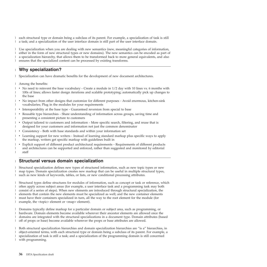<span id="page-39-0"></span>each structural type or domain being a subclass of its parent. For example, a specialization of task is still | a task; and a specialization of the user interface domain is still part of the user interface domain. |

Use specialization when you are dealing with new semantics (new, meaningful categories of information, either in the form of new structural types or new domains). The new semantics can be encoded as part of a specialization hierarchy, that allows them to be transformed back to more general equivalents, and also ensures that the specialized content can be processed by existing transforms.  $\blacksquare$ | | |

#### **Why specialization?** |

Specialization can have dramatic benefits for the development of new document architectures. |

Among the benefits: |

|

- v No need to reinvent the base vocabulary Create a module in 1/2 day with 10 lines vs. 6 months with 100s of lines; allows faster design iterations and scalable prototyping; automatically pick up changes to the base | | |
- $\blacksquare$  No impact from other designs that customize for different purposes Avoid enormous, kitchen-sink vocabularies; Plug in the modules for your requirements |
- v Interoperability at the base type Guaranteed reversion from special to base |
- v Reusable type hierarchies Share understanding of information across groups, saving time and presenting a consistent picture to customers | |
- v Output tailored to customers and information More specific search, filtering, and reuse that is designed for your customers and information not just the common denominator | |
- v Consistency Both with base standards and within your information set |
- Learning support for new writers Instead of learning standard markup plus specific ways to apply the markup, writers get specific markup with guidelines built in | |
- Explicit support of different product architectural requirements Requirements of different products and architectures can be supported and enforced, rather than suggested and monitored by editorial staff | | |

# **Structural versus domain specialization**

Structural specialization defines new types of structured information, such as new topic types or new map types. Domain specialization creates new markup that can be useful in multiple structural types, such as new kinds of keywords, tables, or lists, or new conditional processing attributes. | | |

Structural types define structures for modules of information, such as concept or task or reference, which  $\blacksquare$  $\mathbf{L}$ | often apply across subject areas (for example, a user interface task and a programming task may both consist of a series of steps). When new elements are introduced through structural specialization, the  $\blacksquare$ elements that contain the new elements must be specialized as well; and the new container elements  $\blacksquare$ must have their containers specialized in turn, all the way to the root element for the module (for  $\blacksquare$ example, the <topic> element or <map> element). |

Domains typically define markup for a particular domain or subject area, such as programming, or | hardware. Domain elements become available wherever their ancestor elements are allowed once the domains are integrated with the structural specializations in a document type. Domain attributes (based off of props or base) become available wherever the props or base attributes are allowed.  $\Box$ | |

Both structural specialization hierarchies and domain specialization hierarchies are "is a" hierarchies, in object-oriented terms, with each structural type or domain being a subclass of its parent. For example, a specialization of task is still a task; and a specialization of the programming domain is still concerned with programming. | $\blacksquare$ | |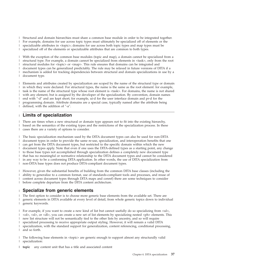<span id="page-40-0"></span>Structural and domain hierarchies must share a common base module in order to be integrated together. |

For example, domains for use across topic types must ultimately be specialized off of elements or the |

specializable attributes in <topic>; domains for use across both topic types and map types must be |

specialized off of the elements or specializable attributes that are common to both types. |

With the exception of the common base modules (topic and map), a domain cannot be specialized from a structural type. For example, a domain cannot be specialized from elements in <task>, only from the root structural modules for <topic> or <map>. This rule ensures that domains can be integrated and document types can be generalized predictably. The rule may be relaxed in future versions of DITA if a mechanism is added for tracking dependencies between structural and domain specializations in use by a document type. | | | | | |

Elements and attributes created by specialization are scoped by the name of the structural type or domain | in which they were declared. For structural types, the name is the same as the root element: for example, | task is the name of the structural type whose root element is <task>. For domains, the name is not shared with any element, but is assigned by the developer of the specialization. By convention, domain names end with ″-d″ and are kept short; for example, ui-d for the user interface domain and pr-d for the programming domain. Attribute domains are a special case, typically named after the attribute being defined, with the addition of ″-a″. | | | | |

# **Limits of specialization** |

There are times when a new structural or domain type appears not to fit into the existing hierarchy, | based on the semantics of the existing types and the restrictions of the specialization process. In these cases there are a variety of options to consider. | |

The basic specialization mechanism used by the DITA document types can also be used for non-DITA document types in order to provide the same re-use, specialization, and interoperation benefits that one can get from the DITA document types, but restricted to the specific domain within which the new document types apply. Note that even if one uses the DITA-defined types as a starting point, any change to those base types not accomplished through specialization defines a completely new document type that has no meaningful or normative relationship to the DITA document types and cannot be considered in any way to be a conforming DITA application. In other words, the use of DITA specialization from non-DITA base types does not produce DITA-compliant document types. | | | | | | | |

However, given the substantial benefits of building from the common DITA base classes (including the | ability to generalize to a common format, use of standards-compliant tools and processes, and reuse of content across document types through DITA maps and conref) there are some techniques to consider before complete departure from the DITA content architecture. | | |

#### **Specialize from generic elements** |

The first option to consider is to choose more generic base elements from the available set. There are generic elements in DITA available at every level of detail, from whole generic topics down to individual generic keywords. | | |

I For example, if you want to create a new kind of list but cannot usefully do so specializing from <ul>, | <ol>, <sl>, or <dl>, you can create a new set of list elements by specializing nested <ph> elements. This new list structure will not be semantically tied to the other lists by ancestry, and so will require | specialized processing to receive appropriate output styling. However, it will remain a valid DITA specialization, with the standard support for generalization, content referencing, conditional processing, and so forth. |  $\blacksquare$ |

The following base elements in <topic> are generic enough to support almost any structurally valid | specialization: |

**topic** any content unit that has a title and associated content |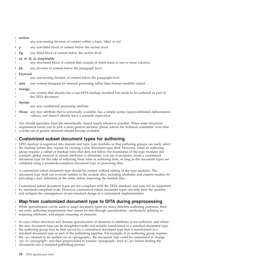<span id="page-41-0"></span>

| section   |                                                                                                                                                                     |
|-----------|---------------------------------------------------------------------------------------------------------------------------------------------------------------------|
|           | any non-nesting division of content within a topic, titled or not                                                                                                   |
| l p       | any non-titled block of content below the section level                                                                                                             |
| $\ln$ fig | any titled block of content below the section level                                                                                                                 |
|           | ul, ol, dl, sl, simpletable<br>any structured block of content that consists of listed items in one or more columns                                                 |
| $1$ ph    | any division of content below the paragraph level                                                                                                                   |
| keyword   | any non-nesting division of content below the paragraph level                                                                                                       |
| data      | any content designed for internal processing rather than human-readable output                                                                                      |
| foreign   | any content that already has a non-DITA markup standard but needs to be authored as part of<br>the DITA document                                                    |
| @props    |                                                                                                                                                                     |
|           | any new conditional processing attribute                                                                                                                            |
|           | @base any new attribute that is universally available, has a simple syntax (space-delimited alphanumeric<br>values), and doesn't already have a semantic equivalent |

You should specialize from the semantically closest match whenever possible. When some structural requirement forces you to pick a more general ancestor, please inform the technical committee: over time a richer set of generic elements should become available. | | |

#### **Customized subset document types for authoring** |

DITA markup is organized into domain and topic type modules so that authoring groups can easily select the markup subset they require by creating a new document type shell. However, when an authoring group requires a subset of markup rules that does not follow the boundaries of the type modules (for example, global removal of certain attributes or elements), you can if necessary create a customized document type for the sake of enforcing these rules at authoring time, as long as the document types are validated using a standards-compliant document type at processing time. |  $\blacksquare$ | |  $\blacksquare$ |

A customized subset document type should be created without editing of the type modules. The document type shell can override entities in the module files, including attributes and content models, by providing a new definition of the entity before importing the module files. | | |

Customized subset document types are not compliant with the DITA standard, and may not be supported  $\mathbf{I}$ | by standards-compliant tools. However, customized subset document types can help limit the quantity | and mitigate the consequences of non-standard design in a customized implementation.  $\blacksquare$ 

#### **Map from customized document type to DITA during preprocessing** |

While specialization can be used to adapt document types for many different authoring purposes, there are some authoring requirements that cannot be met through specialization - particularly splitting or renaming attributes, and simple renaming of elements. | | |

In cases where structural and domain specialization of elements or attributes is not sufficient, and where the new document type can be straightforwardly and reliably transformed to a standard document type, the authoring group may be best served by a customized document type that is transformed to a standard document type as part of the publishing pipeline. For example, if an authoring group requires the <p> element to be spelled out as <paragraph>, the document type could be customized to change  $<$ p $>$  to  $<$ paragraph $>$  and then preprocessed to rename  $<$ paragraph $>$  back to  $<$ p $>$  before feeding the documents into a standard publishing process.  $\blacksquare$ |  $\blacksquare$ | |  $\blacksquare$  $\perp$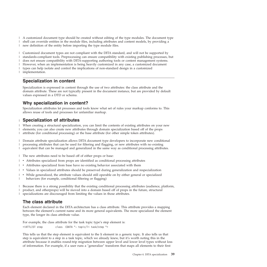<span id="page-42-0"></span>A customized document type should be created without editing of the type modules. The document type | shell can override entities in the module files, including attributes and content models, by providing a | new definition of the entity before importing the type module files. |

Customized document types are not compliant with the DITA standard, and will not be supported by | standards-compliant tools. Preprocessing can ensure compatibility with existing publishing processes, but | does not ensure compatibility with DITA-supporting authoring tools or content management systems. | However, when an implementation is being heavily customized in any case, a customized document | types can help isolate and control the implications of non-standard design in a customized implementation. | |

# **Specialization in content**

Specialization is expressed in content through the use of two attributes: the class attribute and the domain attribute. These are not typically present in the document instance, but are provided by default values expressed in a DTD or schema.

# **Why specialization in content?**

Specialization attributes let processes and tools know what set of rules your markup conforms to. This allows reuse of tools and processes for unfamiliar markup.

#### **Specialization of attributes** |

When creating a structural specialization, you can limit the contents of existing attributes on your new | elements; you can also create new attributes through domain specialization based off of the props | attribute (for conditional processing) or the base attribute (for other simple token attributes). |

Domain attribute specialization allows DITA document type developers to incorporate new conditional | processing attributes that can be used for filtering and flagging, or new attributes with no existing equivalent that can be managed and generalized in the same way as conditional processing attributes. | |

The new attributes need to be based off of either props or base: |

- 1 Attributes specialized from props are identified as conditional processing attributes
- 1 Attributes specialized from base have no existing behavior associated with them
- values in specialized attributes should be preserved during generalization and respecialization
- v While generalized, the attribute values should still operable on by either general or specialized behaviors (for example, conditional filtering or flagging) |

| Because there is a strong possibility that the existing conditional processing attributes (audience, platform, L. product, and otherprops) will be moved into a domain based off of props in the future, structural |

specializations are discouraged from limiting the values in those attributes. |

# **The class attribute**

Each element declared in the DITA architecture has a class attribute. This attribute provides a mapping between the element's current name and its more general equivalents. The more specialized the element type, the longer its class attribute value.

For example, the class attribute for the task topic type's step element is: <!ATTLIST step class CDATA "- topic/li task/step ">

This tells us that the step element is equivalent to the li element in a generic topic. It also tells us that step is equivalent to a step in a task topic, which we already knew, but it's worth noting this in the attribute because it enables round-trip migration between upper level and lower level types without loss of information. For example, if a user runs a ″generalize″ transform that maps all elements to their first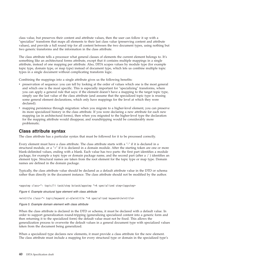<span id="page-43-0"></span>class value, but preserves their content and attribute values, then the user can follow it up with a ″specialize″ transform that maps all elements to their last class value (preserving content and attribute values), and provide a full round trip for all content between the two document types, using nothing but two generic transforms and the information in the class attribute.

The class attribute tells a processor what general classes of elements the current element belongs to. It's something like an architectural forms attribute, except that it contains multiple mappings in a single attribute, instead of one mapping per attribute. Also, DITA scopes values by module type (for example topic type, domain type, or map type) instead of document type, which lets us combine multiple topic types in a single document without complicating transform logic.

Combining the mappings into a single attribute gives us the following benefits:

- v preservation of sequence: you can tell by looking at the order of values which one is the most general and which one is the most specific. This is especially important for ″specializing″ transforms, where you can apply a general rule that says: if the element doesn't have a mapping to the target topic type, simply use the last value of the class attribute (and assume that the specialized topic type is reusing some general element declarations, which only have mappings for the level at which they were declared).
- mapping persistence through migration: when you migrate to a higher-level element, you can preserve its more specialized history in the class attribute. If you were declaring a new attribute for each new mapping (as in architectural forms), then when you migrated to the higher-level type the declaration for the mapping attribute would disappear, and roundtripping would be considerably more problematic.

# **Class attribute syntax**

The class attribute has a particular syntax that must be followed for it to be processed correctly.

Every element must have a class attribute. The class attribute starts with a ″-″ if it is declared in a structural module, or a ″+″ if it is declared in a domain module. After the starting token are one or more blank-delimited values, ending with a blank. Each value has two parts: the first part identifies a module package, for example a topic type or domain package name, and the second part (after a / ) identifies an element type. Structural names are taken from the root element for the topic type or map type. Domain names are defined in the domain package.

Typically, the class attribute value should be declared as a default attribute value in the DTD or schema rather than directly in the document instance. The class attribute should not be modified by the author.

<appstep class="- topic/li task/step bctask/appstep ">A specialized step</appstep>

*Figure 4. Example structural type element with class attribute*

<wintitle class="+ topic/keyword ui-d/wintitle ">A specialized keyword</wintitle>

### *Figure 5. Example domain element with class attribute*

When the class attribute is declared in the DTD or schema, it must be declared with a default value. In order to support generalization round-tripping (generalizing specialized content into a generic form and then returning it to the specialized form) the default value must not be fixed. This allows the generalization process to overwrite the default values in a general document type with specialized values taken from the document being generalized.

When a specialized type declares new elements, it must provide a class attribute for the new element. The class attribute must include a mapping for every structural type or domain in the specialized type's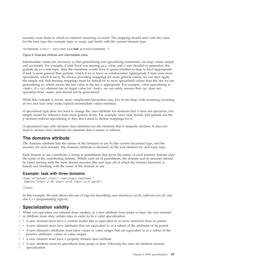<span id="page-44-0"></span>ancestry, even those in which no element renaming occurred. The mapping should start with the value for the base type (for example topic or map), and finish with the current element type.

<windowname class="- topic/kwd task/**kwd** guitask/windowname ">

*Figure 6. Example attribute with intermediate value*

Intermediate values are necessary so that generalizing and specializing transforms can map values simply and accurately. For example, if task/kwd was missing as a value, and a user decided to generalize this guitask up to a task topic, then the transform would have to guess whether to map to kwd (appropriate if task is more general than guitask, which it is) or leave as windowname (appropriate if task were more specialized, which it isn't). By always providing mappings for more general values, we can then apply the simple rule that missing mappings must by default be to more specialized values than the one we are generalizing to, which means the last value in the list is appropriate. For example, when specializing to  $\langle$  <task>, if a  $\langle p \rangle$  element has no target value for  $\langle$  task>, we can safely assume that  $\langle p \rangle$  does not specialize from <task> and should not be generalized.

While this example is trivial, more complicated hierarchies (say, five levels deep, with renaming occurring at two and four only) make explicit intermediate values essential.

A specialized type does not need to change the class attribute for elements that it does not specialize, but simply reuses by reference from more generic levels. For example, since task, bctask, and guitask use the p element without specializing it, they don't need to declare mappings for it.

A specialized type only declares class attributes for the elements that it uniquely declares. It does not need to declare class attributes for elements that it reuses or inherits.

# **The domains attribute**

The domains attribute lists the names of the domains in use by the current document type, and the ancestry for each domain. The domains attribute is declared on the root element for each topic type.

Each domain in use contributes a string in parentheses that gives the names of each ancestor domain plus the name of the contributing domain. Within each set of parentheses, the domain and its ancestry should be listed starting with the most distant ancestor (the root type off of which the domain hierarchy is based) and finishing with the name of the domain in use.

### **Example: task with three domains**

```
<task id="mytask" class="- topic/topic task/task "
domains="(topic ui-d) (topic sw-d) (topic pr-d cpp-d)">
...
\langletask>
```
In this example, the task allows the use of tags for describing user interfaces (ui-d), software (sw-d), and also C++ programming (cpp-d).

# **Specialization validity** |

When you specialize one element from another, or a new attribute from props or base, the new element | or attribute must obey certain rules in order to be a valid specialization. |

- 1 A new element must have a content model that is equivalent to or more restrictive than its parent.
- 1 A new element must have attributes that are equivalent to or a subset of the attributes of its parent.
- 1 A new element's attributes must have values or value ranges that are equivalent to or a subset of the parent's attributes' values or value ranges. |
- 1 A new element must have a properly formed class attribute.
- 1 A new attribute must be specialized from props or base, following the rules for attribute domain specialization. |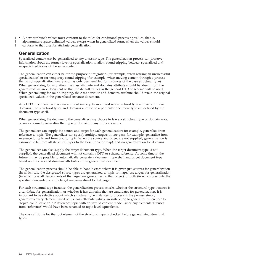- <span id="page-45-0"></span>1 • A new attribute's values must conform to the rules for conditional processing values, that is,
	- alphanumeric space-delimited values, except when in generalized form, when the values should conform to the rules for attribute generalization.

# **Generalization**

| |

> Specialized content can be generalized to any ancestor type. The generalization process can preserve information about the former level of specialization to allow round-tripping between specialized and unspecialized forms of the same content.

The generalization can either be for the purpose of migration (for example, when retiring an unsuccessful specialization) or for temporary round-tripping (for example, when moving content through a process that is not specialization aware and has only been enabled for instances of the base structural type). When generalizing for migration, the class attribute and domains attribute should be absent from the generalized instance document so that the default values in the general DTD or schema will be used. When generalizing for round-tripping, the class attribute and domains attribute should retain the original specialized values in the generalized instance document.

Any DITA document can contain a mix of markup from at least one structural type and zero or more domains. The structural types and domains allowed in a particular document type are defined by the document type shell.

When generalizing the document, the generalizer may choose to leave a structural type or domain as-is, or may choose to generalize that type or domain to any of its ancestors.

The generalizer can supply the source and target for each generalization: for example, generalize from reference to topic. The generalizer can specify multiple targets in one pass: for example, generalize from reference to topic and from ui-d to topic. When the source and target are not supplied, generalization is assumed to be from all structural types to the base (topic or map), and no generalization for domains.

The generalizer can also supply the target document type. When the target document type is not supplied, the generalized document will not contain a DTD or schema reference. At some time in the future it may be possible to automatically generate a document type shell and target document type based on the class and domains attributes in the generalized document.

The generalization process should be able to handle cases where it is given just sources for generalization (in which case the designated source types are generalized to topic or map), just targets for generalization (in which case all descendants of the target are generalized to that target), or both (in which case only the specified descendants of the target are generalized to that target).

For each structural type instance, the generalization process checks whether the structural type instance is a candidate for generalization, or whether it has domains that are candidates for generalization. It is important to be selective about which structural type instances to process: if the process simply generalizes every element based on its class attribute values, an instruction to generalize ″reference″ to ″topic″ could leave an APIReference topic with an invalid content model, since any elements it reuses from ″reference″ would have been renamed to topic-level equivalents.

The class attribute for the root element of the structural type is checked before generalizing structural types: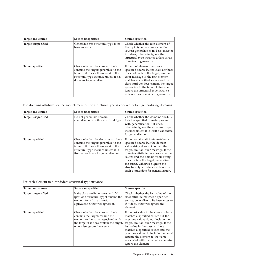| Target and source  | Source unspecified                                                                                                                                                                       | Source specified                                                                                                                                                                                                                                                                                                                                                |
|--------------------|------------------------------------------------------------------------------------------------------------------------------------------------------------------------------------------|-----------------------------------------------------------------------------------------------------------------------------------------------------------------------------------------------------------------------------------------------------------------------------------------------------------------------------------------------------------------|
| Target unspecified | Generalize this structural type to its<br>base ancestor                                                                                                                                  | Check whether the root element of<br>the topic type matches a specified<br>source; generalize to its base ancestor<br>if it does, otherwise ignore the<br>structural type instance unless it has<br>domains to generalize.                                                                                                                                      |
| Target specified   | Check whether the class attribute<br>contains the target; generalize to the<br>target if it does, otherwise skip the<br>structural type instance unless it has<br>domains to generalize. | If the root element matches a<br>specified source but its class attribute<br>does not contain the target, emit an<br>error message. If the root element<br>matches a specified source and its<br>class attribute does contain the target,<br>generalize to the target. Otherwise<br>ignore the structural type instance<br>unless it has domains to generalize. |

The domains attribute for the root element of the structural type is checked before generalizing domains:

| Target and source  | Source unspecified                                                                                                                                                                                        | Source specified                                                                                                                                                                                                                                                                                                                                                                                    |
|--------------------|-----------------------------------------------------------------------------------------------------------------------------------------------------------------------------------------------------------|-----------------------------------------------------------------------------------------------------------------------------------------------------------------------------------------------------------------------------------------------------------------------------------------------------------------------------------------------------------------------------------------------------|
| Target unspecified | Do not generalize domain<br>specializations in this structural type.                                                                                                                                      | Check whether the domains attribute<br>lists the specified domain; proceed<br>with generalization if it does,<br>otherwise ignore the structural type<br>instance unless it is itself a candidate<br>for generalization.                                                                                                                                                                            |
| Target specified   | Check whether the domains attribute<br>contains the target; generalize to the<br>target if it does, otherwise skip the<br>structural type instance unless it is<br>itself a candidate for generalization. | If the domains attribute matches a<br>specified source but the domain<br>value string does not contain the<br>target, emit an error message. If the<br>domains attribute matches a specified<br>source and the domain value string<br>does contain the target, generalize to<br>the target. Otherwise ignore the<br>structural type instance unless it is<br>itself a candidate for generalization. |

For each element in a candidate structural type instance:

| Target and source  | Source unspecified                                                                                                                                                                         | Source specified                                                                                                                                                                                                                                                                                                                                                                      |
|--------------------|--------------------------------------------------------------------------------------------------------------------------------------------------------------------------------------------|---------------------------------------------------------------------------------------------------------------------------------------------------------------------------------------------------------------------------------------------------------------------------------------------------------------------------------------------------------------------------------------|
| Target unspecified | If the class attribute starts with "-"<br>(part of a structural type) rename the<br>element to its base ancestor<br>equivalent. Otherwise ignore it.                                       | Check whether the last value of the<br>class attribute matches a specified<br>source; generalize to its base ancestor<br>if it does, otherwise ignore the<br>element.                                                                                                                                                                                                                 |
| Target specified   | Check whether the class attribute<br>contains the target; rename the<br>element to the value associated with<br>the target if it does contain the target,<br>otherwise ignore the element. | If the last value in the class attribute<br>matches a specified source but the<br>previous values do not include the<br>target, emit an error message. If the<br>last value in the class attribute<br>matches a specified source and the<br>previous values do include the target,<br>rename the element to the value<br>associated with the target. Otherwise<br>ignore the element. |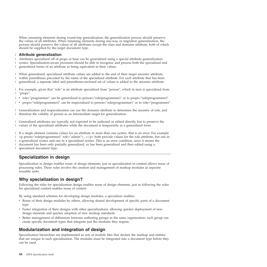<span id="page-47-0"></span>When renaming elements during round-trip generalization, the generalization process should preserve the values of all attributes. When renaming elements during one-way or migration generalization, the process should preserve the values of all attributes except the class and domains attribute, both of which should be supplied by the target document type.

### **Attribute generalization** |

Attributes specialized off of props or base can be generalized using a special attribute generalization | syntax. Specialization-aware processes should be able to recognize and process both the specialized and generalized forms of an attribute as being equivalent in their values. | |

When generalized, specialized attribute values are added to the end of their target ancestor attribute,  $\|$ 

within parentheses preceded by the name of the specialized attribute. For each attribute that has been |

generalized, a separate label and parentheses-enclosed set of values is added to the ancestor attribute.  $\blacksquare$ 

For example, given that ″role″ is an attribute specialized from ″person″, which in turn is specialized from ″props″:  $\blacksquare$ |

- | role="programmer" can be generalized to person="role(programmer)" or to props="role(programmer)"
- | props="role(programmer)" can be respecialized to person="role(programmer)" or to role="programmer"

Generalization and respecialization can use the domains attribute to determine the ancestry of role, and therefore the validity of person as an intermediate target for generalization.  $\blacksquare$ |

Generalized attributes are typically not expected to be authored or edited directly, but to preserve the | values of the specialized attributes while the document is temporarily in a generalized form. |

If a single element contains values for an attribute in more than one syntax, that is an error. For example <p prson=″role(programmer)″ role=″admin″>...</p> both provide values for the role attribute, but one in a generalized syntax and one in a specialized syntax. This is an error condition, since it means the document has been only partially generalized, or has been generalized and then edited using a specialized document type.  $\blacksquare$  $\blacksquare$  $\|$  $\blacksquare$ |

# **Specialization in design**

Specialization in design enables reuse of design elements, just as specialization in content allows reuse of processing rules. These rules involve the creation and management of markup modules as separate reusable units.

# **Why specialization in design?**

Following the rules for specialization design enables reuse of design elements, just as following the rules for specialized content enables reuse of content

By using standard schemes for developing design modules, a specializer enables:

- v Reuse of their design modules by others, allowing shared development of specific parts of a document type
- v Faster integration of their designs with other specializations, allowing quicker deployment of new design elements and quicker adoption of new markup standards
- v Better management of differences between authoring groups in the same organization: each group can create specific document types that integrate just the modules they require.

# **Modularization and integration of design**

Specialization hierarchies are implemented as sets of module files that declare the markup and entities that are unique to each specialization. The modules must be integrated into a document type before they can be used.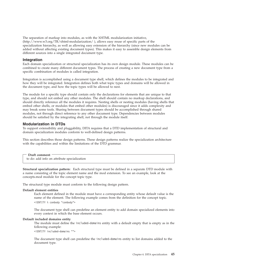<span id="page-48-0"></span>The separation of markup into modules, as with the XHTML modularization initiative, (http://www.w3.org/TR/xhtml-modularization/ ), allows easy reuse of specific parts of the specialization hierarchy, as well as allowing easy extension of the hierarchy (since new modules can be added without affecting existing document types). This makes it easy to assemble design elements from different sources into a single integrated document type.

### **Integration**

Each domain specialization or structural specialization has its own design module. These modules can be combined to create many different document types. The process of creating a new document type from a specific combination of modules is called integration.

Integration is accomplished using a document type shell, which defines the modules to be integrated and how they will be integrated. Integration defines both what topic types and domains will be allowed in the document type, and how the topic types will be allowed to nest.

The module for a specific type should contain only the declarations for elements that are unique to that type, and should not embed any other modules. The shell should contain no markup declarations, and should directly reference all the modules it requires. Nesting shells or nesting modules (having shells that embed other shells, or modules that embed other modules) is discouraged since it adds complexity and may break some tools. Sharing between document types should be accomplished through shared modules, not through direct reference to any other document type. Dependencies between modules should be satisfied by the integrating shell, not through the module itself.

### **Modularization in DTDs**

To support extensibility and pluggability, DITA requires that a DTD implementation of structural and domain specialization modules conform to well-defined design patterns.

This section describes those design patterns. These design patterns realize the specialization architecture with the capabilities and within the limitations of the DTD grammar.

Draft comment -

to do: add info on attribute specialization

**Structural specialization pattern:** Each structural type must be defined in a separate DTD module with a name consisting of the topic element name and the mod extension. To see an example, look at the concepts.mod module for the concept topic type.

The structural type module must conform to the following design pattern.

### **Default element entities**

Each element defined in the module must have a corresponding entity whose default value is the name of the element. The following example comes from the definition for the concept topic. <!ENTITY % conbody "conbody">

The document type shell can predefine an element entity to add domain specialized elements into every context in which the base element occurs.

#### **Default included domains entity**

The module must define the included-domains entity with a default empty that is empty as in the following example:

<!ENTITY included-domains "">

The document type shell can predefine the included-domains entity to list domains added to the document type.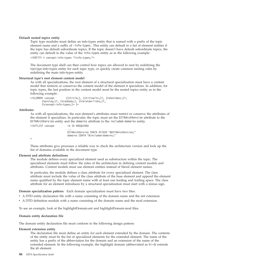#### **Default nested topics entity**

Topic type modules must define an info-types entity that is named with a prefix of the topic element name and a suffix of -info-types. This entity can default to a list of element entities if the topic has default subordinate topics. If the topic doesn't have default subordinate topics, the entity can default to the value of the info-types entity as in the following example:

<!ENTITY % concept-info-types "%info-types;">

The document type shell can then control how topics are allowed to nest by redefining the *topictype*-info-types entity for each topic type, or quickly create common nesting rules by redefining the main info-types entity.

#### **Structural type's root element content model**

As with all specializations, the root element of a structural specialization must have a content model that restricts or conserves the content model of the element it specializes. In addition, for topic types, the last position in the content model must be the nested topics entity as in the following example:

```
<!ELEMENT concept ((%title;), (%titlealts;)?, (%shortdesc;)?,
       (%prolog;)?, (%conbody;), (%related-links;)?,
       (%concept-info-types;)* )>
```
#### **Attributes**

As with all specializations, the root element's attributes must restrict or conserve the attributes of the element it specializes. In particular, the topic must set the DITAArchVersion attribute to the DITAArchVersion entity and the domains attribute to the included-domains entity.

| ATTLIST concept</th <th>id ID #REOUIRED</th> | id ID #REOUIRED                                                                                    |
|----------------------------------------------|----------------------------------------------------------------------------------------------------|
|                                              | $\cdots$<br>DITAArchVersion CDATA #FIXED "&DITAArchVersion:"<br>domains CDATA "&included-domains:" |
|                                              |                                                                                                    |

These attributes give processes a reliable way to check the architecture version and look up the list of domains available in the document type.

#### **Element and attribute definitions**

The module defines every specialized element used as substructure within the topic. The specialized elements must follow the rules of the architecture in defining content models and attributes. Content models must use element entities instead of literal element names.

In particular, the module defines a class attribute for every specialized element. The class attribute must include the value of the class attribute of the base element and append the element name qualified by the topic element name with at least one leading and trailing space. The class attribute for an element introduces by a structural specialization must start with a minus sign.

**Domain specialization pattern:** Each domain specialization must have two files:

- v A DTD entity declaration file with a name consisting of the domain name and the ent extension.
- v A DTD definition module with a name consisting of the domain name and the mod extension.

To see an example, look at the highlightDomain.ent and highlightDomain.mod files.

#### **Domain entity declaration file**

The domain entity declaration file must conform to the following design pattern:

#### **Element extension entity**

The declaration file must define an entity for each element extended by the domain. The contents of the entity must be the list of specialized elements for the extended element. The name of the entity has a prefix of the abbreviation for the domain and an extension of the name of the extended element. In the following example, the highlight domain (abbreviated as hi-d) extends the ph element.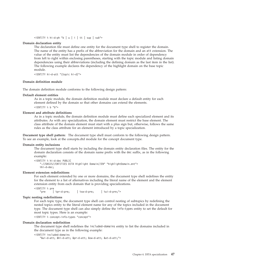$\le$ !ENTITY % hi-d-ph "b | u | i | tt | sup | sub">

#### **Domain declaration entity**

The declaration file must define one entity for the document type shell to register the domain. The name of the entity has a prefix of the abbreviation for the domain and an att extension. The value of the entity must list the dependencies of the domain module in order of dependency from left to right within enclosing parentheses, starting with the topic module and listing domain dependencies using their abbreviations (including the defining domain as the last item in the list). The following example declares the dependency of the highlight domain on the base topic module.

<!ENTITY hi-d-att "(topic hi-d)">

#### **Domain definition module**

The domain definition module conforms to the following design pattern:

#### **Default element entities**

As in a topic module, the domain definition module must declare a default entity for each element defined by the domain so that other domains can extend the elements. <!ENTITY % b "b">

#### **Element and attribute definitions**

As in a topic module, the domain definition module must define each specialized element and its attributes. As with any specialization, the domain element must restrict the base element. The class attribute of the domain element must start with a plus sign but, otherwise, follows the same rules as the class attribute for an element introduced by a topic specialization.

**Document type shell pattern:** The document type shell must conform to the following design pattern. To see an example, look at the concepts.dtd module for the concept document type.

#### **Domain entity inclusions**

The document type shell starts by including the domain entity declaration files. The entity for the domain declaration consists of the domain name prefix with the dec suffix, as in the following example:

```
<!ENTITY % hi-d-dec PUBLIC
    "-//OASIS//ENTITIES DITA Highlight Domain//EN" "highlightDomain.ent">
   %hi-d-dec;
```
#### **Element extension redefinitions**

For each element extended by one or more domains, the document type shell redefines the entity for the element to a list of alternatives including the literal name of the element and the element extension entity from each domain that is providing specializations.

<!ENTITY % pre

"pre | %pr-d-pre; | %sw-d-pre; | %ui-d-pre;">

#### **Topic nesting redefinitions**

For each topic type, the document type shell can control nesting of subtopics by redefining the nested topics entity to the literal element name for any of the topics included in the document type. The document type shell can also simply define the info-types entity to set the default for most topic types. Here is an example:

<!ENTITY % concept-info-types "concept">

#### **Domain declaration redefinition**

The document type shell redefines the included-domains entity to list the domains included in the document type as in the following example:

#### <!ENTITY included-domains

"&ui-d-att; &hi-d-att; &pr-d-att; &sw-d-att; &ut-d-att;">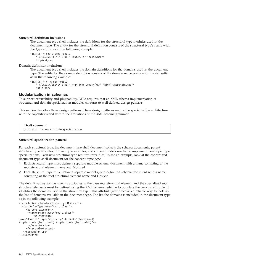#### **Structural definition inclusions**

The document type shell includes the definitions for the structural type modules used in the document type. The entity for the structural definition consists of the structural type's name with the type suffix, as in the following example:

```
<!ENTITY % topic-type PUBLIC
    "-//OASIS//ELEMENTS DITA Topic//EN" "topic.mod">
   %topic-type;
```
#### **Domain definition inclusions**

The document type shell includes the domain definitions for the domains used in the document type. The entity for the domain definition consists of the domain name prefix with the def suffix, as in the following example:

```
<!ENTITY % hi-d-def PUBLIC
    "-//OASIS//ELEMENTS DITA Highlight Domain//EN" "highlightDomain.mod">
   %hi-d-def;
```
#### **Modularization in schemas**

To support extensibility and pluggability, DITA requires that an XML schema implementation of structural and domain specialization modules conform to well-defined design patterns.

This section describes those design patterns. These design patterns realize the specialization architecture with the capabilities and within the limitations of the XML schema grammar.

#### **Draft comment**

to do: add info on attribute specialization

#### **Structural specialization pattern:**

For each structural type, the document type shell document collects the schema documents, parent structural type modules, domain type modules, and content models needed to implement new topic type specializations. Each new structural type requires three files. To see an example, look at the concept.xsd document type shell document for the concept topic type.

- 1. Each structural type must define a separate module schema document with a name consisting of the root structural element name and Mod.xsd
- 2. Each structural type must define a separate model group definition schema document with a name consisting of the root structural element name and Grp.xsd

The default values for the domains attributes in the base root structural element and the specialized root structural elements must be defined using the XML Schema redefine to populate the domains attribute. It identifies the domains used in the structural type. This attribute give processes a reliable way to look up the list of domains available in the document type. The list the domains is included in the document type as in the following example:

```
<xs:redefine schemaLocation="topicMod.xsd" >
  <xs:complexType name="topic.class">
     <xs:complexContent>
     <xs:extension base="topic.class">
          <xs:attribute
name="domains" type="xs:string" default="(topic ui-d)
(topic hi-d) (topic sw-d) (topic pr-d) (topic ut-d)"/>
      </xs:extension>
     </xs:complexContent>
   </xs:complexType>
</xs:redefine>
```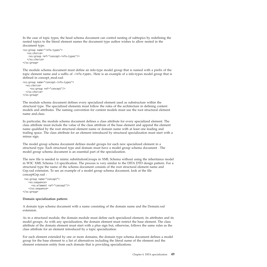In the case of topic types, the head schema document can control nesting of subtopics by redefining the nested topics to the literal element names the document type author wishes to allow nested in the document type.

```
<xs:group name="info-types">
   <xs:choice>
   <xs:group ref="concept-info-types"/>
   </xs:choice>
</xs:group>
```
The module schema document must define an info-type model group that is named with a prefix of the topic element name and a suffix of -info-types. Here is an example of a info-types model group that is defined in concept\_mod.xsd:

```
<xs:group name="concept-info-types">
 <xs:choice>
     <xs:group ref="concept"/>
 </xs:choice>
</xs:group>
```
The module schema document defines every specialized element used as substructure within the structural type. The specialized elements must follow the rules of the architecture in defining content models and attributes. The naming convention for content models must use the root structural element name and.class.

In particular, the module schema document defines a class attribute for every specialized element. The class attribute must include the value of the class attribute of the base element and append the element name qualified by the root structural element name or domain name with at least one leading and trailing space. The class attribute for an element introduced by structural specialization must start with a minus sign.

The model group schema document defines model groups for each new specialized element in a structural type. Each structural type and domain must have a model group schema document . The model group schema document is an essential part of the specialization.

The new file is needed to mimic substitutionGroups in XML Schema without using the inheritance model in W3C XML Schema 1.0 specification. The process is very similar to the DITA DTD design pattern. For a structural type the name of the schema document consists of the root structural element name and Grp.xsd extension. To see an example of a model group schema document, look at the file conceptGrp.xsd :

```
<xs:group name="concept">
    <xs:sequence>
     <xs:element ref="concept"/>
    </xs:sequence>
</xs:group>
```
### **Domain specialization pattern:**

A domain type schema document with a name consisting of the domain name and the Domain.xsd extension.

As in a structural module, the domain module must define each specialized element, its attributes and its model groups. As with any specialization, the domain element must restrict the base element. The class attribute of the domain element must start with a plus sign but, otherwise, follows the same rules as the class attribute for an element introduced by a topic specialization.

For each element extended by one or more domains, the domain type schema document defines a model group for the base element to a list of alternatives including the literal name of the element and the element extension entity from each domain that is providing specializations.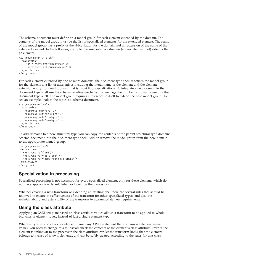<span id="page-53-0"></span>The schema document must define an a model group for each element extended by the domain. The contents of the model group must be the list of specialized elements for the extended element. The name of the model group has a prefix of the abbreviation for the domain and an extension of the name of the extended element. In the following example, the user interface domain (abbreviated as ui-d) extends the ph element.

```
<xs:group name="ui-d-ph">
  <xs:choice>
     <xs:element ref="uicontrol" />
     <xs:element ref="menucascade" />
  </xs:choice>
</xs:group>
```
For each element extended by one or more domains, the document type shell redefines the model group for the element to a list of alternatives including the literal name of the element and the element extension entity from each domain that is providing specializations. To integrate a new domain in the document type shell use the schema redefine mechanism to manage the number of domains used by the document type shell. The model group requires a reference to itself to extend the base model group. To see an example, look at the topic.xsd schema document.

```
<xs:group name="pre">
  <xs:choice>
    <xs:group ref="pre" />
    <xs:group ref="pr-d-pre" />
    <xs:group ref="ui-d-pre" />
    <xs:group ref="sw-d-pre" />
  </xs:choice>
\langle x\mathsf{s}:group>
```
To add domains to a new structural type you can copy the contents of the parent structural type domains schema document into the document type shell. Add or remove the model group from the new domain to the appropriate named group.

```
<xs:group name="pre">
<xs:choice>
  <xs:group ref="pre"/>
   <xs:group ref="pr-d-pre" />
   <xs:group ref="domainName-d-element"/>
</xs:choice>
</xs:group>
```
# **Specialization in processing**

Specialized processing is not necessary for every specialized element, only for those elements which do not have appropriate default behavior based on their ancestors.

Whether creating a new transform or extending an existing one, there are several rules that should be followed to ensure the effectiveness of the transform for other specialized types, and also the maintainability and extensibility of the transform to accommodate new requirements.

# **Using the class attribute**

Applying an XSLT template based on class attribute values allows a transform to be applied to whole branches of element types, instead of just a single element type.

Wherever you would check for element name (any XPath statement that contains an element name value), you need to change this to instead check the contents of the element's class attribute. Even if the element is unknown to the processor, the class attribute can let the transform know that the element belongs to a class of known elements, and can be safely treated according to the rules for that class.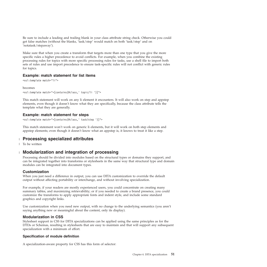<span id="page-54-0"></span>Be sure to include a leading and trailing blank in your class attribute string check. Otherwise you could get false matches (without the blanks, 'task/step' would match on both 'task/step' and on 'notatask/stepaway').

Make sure that when you create a transform that targets more than one type that you give the more specific rules a higher precedence to avoid conflicts. For example, when you combine the existing processing rules for topics with more specific processing rules for tasks, use a shell file to import both sets of rules and use import precedence to ensure task-specific rules will not conflict with generic rules for topics.

### **Example: match statement for list items**

```
<xsl:template match="li">
```
#### becomes

```
<xsl:template match="*[contains(@class,' topic/li ')]">
```
This match statement will work on any li element it encounters. It will also work on step and appstep elements, even though it doesn't know what they are specifically, because the class attribute tells the template what they are generally.

### **Example: match statement for steps**

<xsl:template match="\*[contains(@class,' task/step ')]">

This match statement won't work on generic li elements, but it will work on both step elements and appstep elements; even though it doesn't know what an appstep is, it knows to treat it like a step.

# **Processing specialized attributes** |

To be written |

# **Modularization and integration of processing** |

Processing should be divided into modules based on the structural types or domains they support, and can be integrated together into transforms or stylesheets in the same way that structural type and domain modules can be integrated into document types.

### **Customization**

When you just need a difference in output, you can use DITA customization to override the default output without affecting portability or interchange, and without involving specialization.

For example, if your readers are mostly experienced users, you could concentrate on creating many summary tables, and maximizing retrievability; or if you needed to create a brand presence, you could customize the transforms to apply appropriate fonts and indent style, and include some standard graphics and copyright links.

Use customization when you need new output, with no change to the underlying semantics (you aren't saying anything new or meaningful about the content, only its display).

### **Modularization in CSS**

Stylesheet support in CSS for DITA specializations can be applied using the same principles as for the DTDs or Schemas, resulting in stylesheets that are easy to maintain and that will support any subsequent specialization with a minimum of effort.

### **Specification of module definition**

A specialization-aware property for CSS has this form of selector: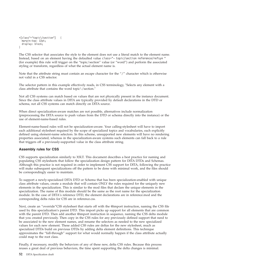```
*[class~="topic\/section"] {
 margin-top: 12pt;
 display: block;
}
```
The CSS selector that associates the style to the element does not use a literal match to the element name. Instead, based on an element having the defaulted value class="- topic/section reference/refsyn " (for example) this rule will trigger on the "topic/section" value (or "word") and perform the associated styling or transform, regardless of what the actual element name is.

Note that the attribute string must contain an escape character for the "/" character which is otherwise not valid in a CSS selector.

The selector pattern in this example effectively reads, in CSS terminology, ″Selects any element with a class attribute that contains the word topic\/section.″

Not all CSS systems can match based on values that are not physically present in the instance document. Since the class attribute values in DITA are typically provided by default declarations in the DTD or schema, not all CSS systems can match directly on DITA source.

When direct specialization-aware matches are not possible, alternatives include normalization (preprocessing the DITA source to push values from the DTD or schema directly into the instance) or the use of element-name-based rules.

Element-name-based rules will not be specialization-aware. Your calling-stylesheet will have to import each additional stylesheet required by the scope of specialized topics and vocabularies, each explicitly defined using element-name selectors. In this scheme, unsupported new elements will have no rendering properties associated, whereas in the specialization-aware systems such elements can fall back to a rule that triggers off a previously-supported value in the class attribute string.

### **Assembly rules for CSS**

CSS supports specialization similarly to XSLT. This document describes a best practice for naming and populating CSS stylesheets that follow the specialization design pattern for DITA DTDs and Schemas. Although this practice is not required in order to implement CSS support for DITA, following the practice will make subsequent specializations off the pattern to be done with minimal work, and the files should be correspondingly easier to maintain.

To support a newly-specialized DITA DTD or Schema that has been specialization-enabled with unique class attribute values, create a module that will contain ONLY the rules required for the uniquely new elements in the specialization. This is similar to the mod files that declare the unique elements in the specialization. The name of this module should be the same as the root name for the specialization module. In the case of DITA's reference DTD, the element declarations are in reference.mod and the corresponding delta rules for CSS are in reference.css.

Next, create an "override"CSS stylesheet that starts off with the @import instruction, naming the CSS file used by this specialization's parent DTD. This import picks up support for all elements that are common with the parent DTD. Then add another @import instruction in sequence, naming the CSS delta module that you created previously. Then copy in the CSS rules for any previously defined support that need to be associated to the new element names, and rename the selectors as needed to the new specialized values for each new element. These added CSS rules are deltas for the new stylesheet, much as specialized DTDs build on previous DTDs by adding delta element definitions. This technique approximates the "fall-through" support for what would normally happen if the class attribute actually could map to the root class.

Finally, if necessary, modify the behaviors of any of these new, delta CSS rules. Because this process reuses a great deal of previous behaviors, the time spent supporting the delta changes is minimal.